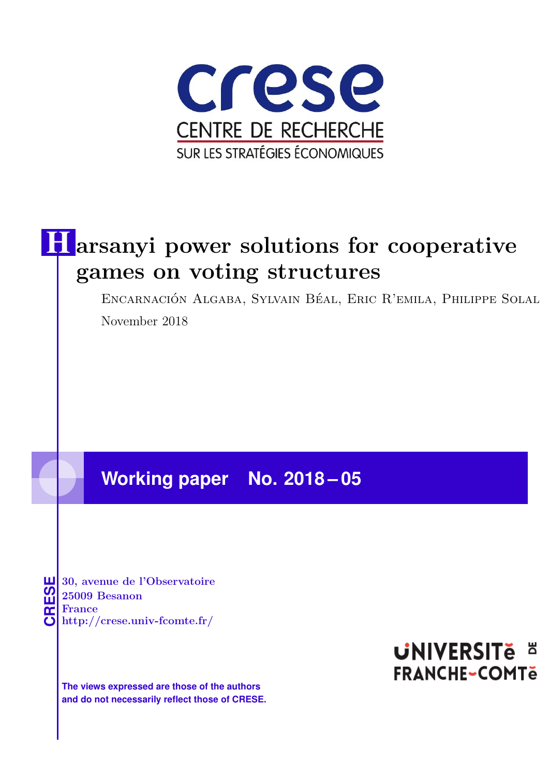

# **H** arsanyi power solutions for cooperative **games on voting structures**

Encarnación Algaba, Sylvain Béal, Eric R'emila, Philippe Solal November 2018

### **Working paper No. 2018 – 05**

**CRESE 30, avenue de l'Observatoire<br>
25009 Besanon<br>
<b>CRESE France**<br> **http://crese.univ-fcomte.fr/ 25009 Besanon France**

**The views expressed are those of the authors and do not necessarily reflect those of CRESE.**

## **UNIVERSITE E FRANCHE-COMTe**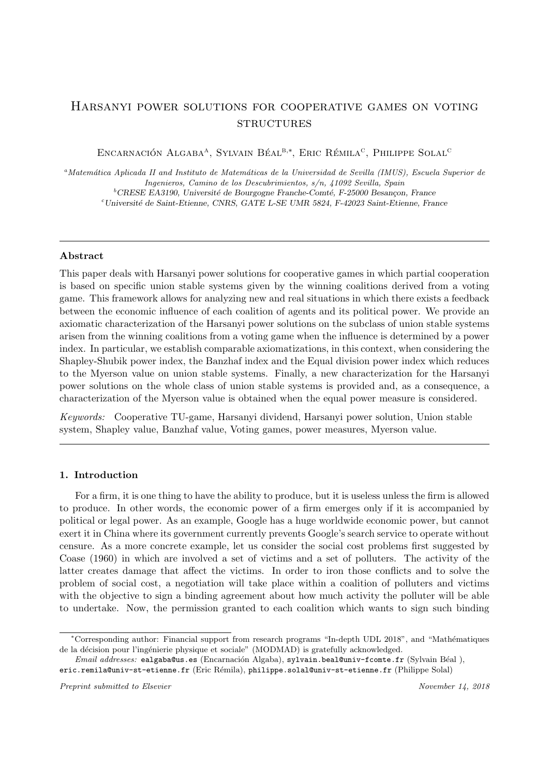### Harsanyi power solutions for cooperative games on voting **STRUCTURES**

ENCARNACIÓN ALGABA<sup>A</sup>, SYLVAIN BÉAL<sup>B,\*</sup>, ERIC RÉMILA<sup>C</sup>, PHILIPPE SOLAL<sup>C</sup>

<sup>a</sup>Matemática Aplicada II and Instituto de Matemáticas de la Universidad de Sevilla (IMUS), Escuela Superior de Ingenieros, Camino de los Descubrimientos, s/n, 41092 Sevilla, Spain  $^b\rm CRESE$ EA3190, Université de Bourgogne Franche-Comté, F-25000 Besançon, France  $c$ Université de Saint-Etienne, CNRS, GATE L-SE UMR 5824, F-42023 Saint-Etienne, France

#### Abstract

This paper deals with Harsanyi power solutions for cooperative games in which partial cooperation is based on specific union stable systems given by the winning coalitions derived from a voting game. This framework allows for analyzing new and real situations in which there exists a feedback between the economic influence of each coalition of agents and its political power. We provide an axiomatic characterization of the Harsanyi power solutions on the subclass of union stable systems arisen from the winning coalitions from a voting game when the influence is determined by a power index. In particular, we establish comparable axiomatizations, in this context, when considering the Shapley-Shubik power index, the Banzhaf index and the Equal division power index which reduces to the Myerson value on union stable systems. Finally, a new characterization for the Harsanyi power solutions on the whole class of union stable systems is provided and, as a consequence, a characterization of the Myerson value is obtained when the equal power measure is considered.

Keywords: Cooperative TU-game, Harsanyi dividend, Harsanyi power solution, Union stable system, Shapley value, Banzhaf value, Voting games, power measures, Myerson value.

#### 1. Introduction

For a firm, it is one thing to have the ability to produce, but it is useless unless the firm is allowed to produce. In other words, the economic power of a firm emerges only if it is accompanied by political or legal power. As an example, Google has a huge worldwide economic power, but cannot exert it in China where its government currently prevents Google's search service to operate without censure. As a more concrete example, let us consider the social cost problems first suggested by Coase (1960) in which are involved a set of victims and a set of polluters. The activity of the latter creates damage that affect the victims. In order to iron those conflicts and to solve the problem of social cost, a negotiation will take place within a coalition of polluters and victims with the objective to sign a binding agreement about how much activity the polluter will be able to undertake. Now, the permission granted to each coalition which wants to sign such binding

<sup>\*</sup>Corresponding author: Financial support from research programs "In-depth UDL 2018", and "Mathématiques de la décision pour l'ingénierie physique et sociale" (MODMAD) is gratefully acknowledged.

Email addresses: ealgaba@us.es (Encarnación Algaba), sylvain.beal@univ-fcomte.fr (Sylvain Béal), eric.remila@univ-st-etienne.fr (Eric R´emila), philippe.solal@univ-st-etienne.fr (Philippe Solal)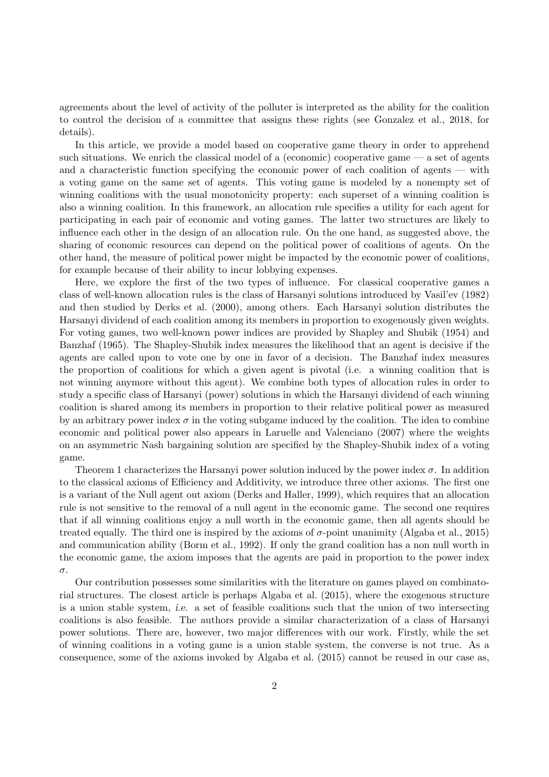agreements about the level of activity of the polluter is interpreted as the ability for the coalition to control the decision of a committee that assigns these rights (see Gonzalez et al., 2018, for details).

In this article, we provide a model based on cooperative game theory in order to apprehend such situations. We enrich the classical model of a (economic) cooperative game  $\sim$  a set of agents and a characteristic function specifying the economic power of each coalition of agents — with a voting game on the same set of agents. This voting game is modeled by a nonempty set of winning coalitions with the usual monotonicity property: each superset of a winning coalition is also a winning coalition. In this framework, an allocation rule specifies a utility for each agent for participating in each pair of economic and voting games. The latter two structures are likely to influence each other in the design of an allocation rule. On the one hand, as suggested above, the sharing of economic resources can depend on the political power of coalitions of agents. On the other hand, the measure of political power might be impacted by the economic power of coalitions, for example because of their ability to incur lobbying expenses.

Here, we explore the first of the two types of influence. For classical cooperative games a class of well-known allocation rules is the class of Harsanyi solutions introduced by Vasil'ev (1982) and then studied by Derks et al. (2000), among others. Each Harsanyi solution distributes the Harsanyi dividend of each coalition among its members in proportion to exogenously given weights. For voting games, two well-known power indices are provided by Shapley and Shubik (1954) and Banzhaf (1965). The Shapley-Shubik index measures the likelihood that an agent is decisive if the agents are called upon to vote one by one in favor of a decision. The Banzhaf index measures the proportion of coalitions for which a given agent is pivotal (i.e. a winning coalition that is not winning anymore without this agent). We combine both types of allocation rules in order to study a specific class of Harsanyi (power) solutions in which the Harsanyi dividend of each winning coalition is shared among its members in proportion to their relative political power as measured by an arbitrary power index  $\sigma$  in the voting subgame induced by the coalition. The idea to combine economic and political power also appears in Laruelle and Valenciano (2007) where the weights on an asymmetric Nash bargaining solution are specified by the Shapley-Shubik index of a voting game.

Theorem 1 characterizes the Harsanyi power solution induced by the power index  $\sigma$ . In addition to the classical axioms of Efficiency and Additivity, we introduce three other axioms. The first one is a variant of the Null agent out axiom (Derks and Haller, 1999), which requires that an allocation rule is not sensitive to the removal of a null agent in the economic game. The second one requires that if all winning coalitions enjoy a null worth in the economic game, then all agents should be treated equally. The third one is inspired by the axioms of  $\sigma$ -point unanimity (Algaba et al., 2015) and communication ability (Borm et al., 1992). If only the grand coalition has a non null worth in the economic game, the axiom imposes that the agents are paid in proportion to the power index σ.

Our contribution possesses some similarities with the literature on games played on combinatorial structures. The closest article is perhaps Algaba et al. (2015), where the exogenous structure is a union stable system, i.e. a set of feasible coalitions such that the union of two intersecting coalitions is also feasible. The authors provide a similar characterization of a class of Harsanyi power solutions. There are, however, two major differences with our work. Firstly, while the set of winning coalitions in a voting game is a union stable system, the converse is not true. As a consequence, some of the axioms invoked by Algaba et al. (2015) cannot be reused in our case as,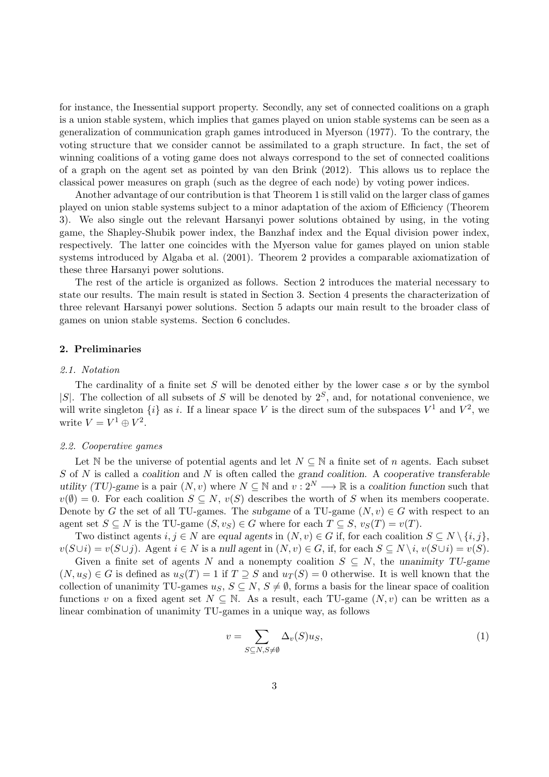for instance, the Inessential support property. Secondly, any set of connected coalitions on a graph is a union stable system, which implies that games played on union stable systems can be seen as a generalization of communication graph games introduced in Myerson (1977). To the contrary, the voting structure that we consider cannot be assimilated to a graph structure. In fact, the set of winning coalitions of a voting game does not always correspond to the set of connected coalitions of a graph on the agent set as pointed by van den Brink (2012). This allows us to replace the classical power measures on graph (such as the degree of each node) by voting power indices.

Another advantage of our contribution is that Theorem 1 is still valid on the larger class of games played on union stable systems subject to a minor adaptation of the axiom of Efficiency (Theorem 3). We also single out the relevant Harsanyi power solutions obtained by using, in the voting game, the Shapley-Shubik power index, the Banzhaf index and the Equal division power index, respectively. The latter one coincides with the Myerson value for games played on union stable systems introduced by Algaba et al. (2001). Theorem 2 provides a comparable axiomatization of these three Harsanyi power solutions.

The rest of the article is organized as follows. Section 2 introduces the material necessary to state our results. The main result is stated in Section 3. Section 4 presents the characterization of three relevant Harsanyi power solutions. Section 5 adapts our main result to the broader class of games on union stable systems. Section 6 concludes.

#### 2. Preliminaries

#### 2.1. Notation

The cardinality of a finite set  $S$  will be denoted either by the lower case  $s$  or by the symbol |S|. The collection of all subsets of S will be denoted by  $2^S$ , and, for notational convenience, we will write singleton  $\{i\}$  as i. If a linear space V is the direct sum of the subspaces  $V^1$  and  $V^2$ , we write  $V = V^1 \oplus V^2$ .

#### 2.2. Cooperative games

Let N be the universe of potential agents and let  $N \subseteq \mathbb{N}$  a finite set of n agents. Each subset  $S$  of  $N$  is called a coalition and  $N$  is often called the grand coalition. A cooperative transferable utility (TU)-game is a pair  $(N, v)$  where  $N \subseteq \mathbb{N}$  and  $v : 2^N \longrightarrow \mathbb{R}$  is a coalition function such that  $v(\emptyset) = 0$ . For each coalition  $S \subseteq N$ ,  $v(S)$  describes the worth of S when its members cooperate. Denote by G the set of all TU-games. The subgame of a TU-game  $(N, v) \in G$  with respect to an agent set  $S \subseteq N$  is the TU-game  $(S, v_S) \in G$  where for each  $T \subseteq S$ ,  $v_S(T) = v(T)$ .

Two distinct agents  $i, j \in N$  are equal agents in  $(N, v) \in G$  if, for each coalition  $S \subseteq N \setminus \{i, j\}$ ,  $v(S \cup i) = v(S \cup j)$ . Agent  $i \in N$  is a null agent in  $(N, v) \in G$ , if, for each  $S \subseteq N \setminus i$ ,  $v(S \cup i) = v(S)$ .

Given a finite set of agents N and a nonempty coalition  $S \subseteq N$ , the unanimity TU-game  $(N, u<sub>S</sub>) \in G$  is defined as  $u<sub>S</sub>(T) = 1$  if  $T \supseteq S$  and  $u<sub>T</sub>(S) = 0$  otherwise. It is well known that the collection of unanimity TU-games  $u_S, S \subseteq N, S \neq \emptyset$ , forms a basis for the linear space of coalition functions v on a fixed agent set  $N \subseteq \mathbb{N}$ . As a result, each TU-game  $(N, v)$  can be written as a linear combination of unanimity TU-games in a unique way, as follows

$$
v = \sum_{S \subseteq N, S \neq \emptyset} \Delta_v(S) u_S,\tag{1}
$$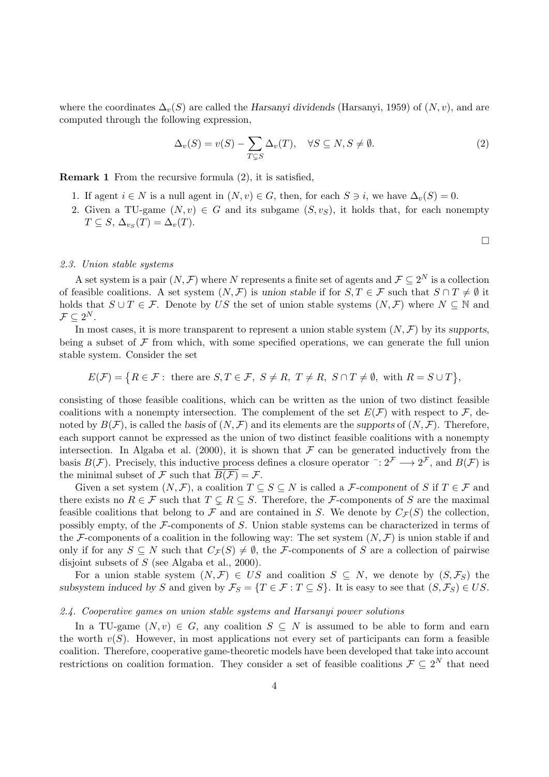where the coordinates  $\Delta_v(S)$  are called the Harsanyi dividends (Harsanyi, 1959) of  $(N, v)$ , and are computed through the following expression,

$$
\Delta_v(S) = v(S) - \sum_{T \subsetneq S} \Delta_v(T), \quad \forall S \subseteq N, S \neq \emptyset.
$$
\n
$$
(2)
$$

Remark 1 From the recursive formula (2), it is satisfied,

- 1. If agent  $i \in N$  is a null agent in  $(N, v) \in G$ , then, for each  $S \ni i$ , we have  $\Delta_v(S) = 0$ .
- 2. Given a TU-game  $(N, v) \in G$  and its subgame  $(S, v_S)$ , it holds that, for each nonempty  $T \subseteq S$ ,  $\Delta_{v_S}(T) = \Delta_v(T)$ .

 $\Box$ 

#### 2.3. Union stable systems

A set system is a pair  $(N, \mathcal{F})$  where N represents a finite set of agents and  $\mathcal{F} \subseteq 2^N$  is a collection of feasible coalitions. A set system  $(N, \mathcal{F})$  is union stable if for  $S, T \in \mathcal{F}$  such that  $S \cap T \neq \emptyset$  it holds that  $S \cup T \in \mathcal{F}$ . Denote by US the set of union stable systems  $(N, \mathcal{F})$  where  $N \subseteq \mathbb{N}$  and  $\mathcal{F} \subseteq 2^N$ .

In most cases, it is more transparent to represent a union stable system  $(N, \mathcal{F})$  by its supports, being a subset of  $\mathcal F$  from which, with some specified operations, we can generate the full union stable system. Consider the set

$$
E(\mathcal{F}) = \{ R \in \mathcal{F} : \text{ there are } S, T \in \mathcal{F}, S \neq R, T \neq R, S \cap T \neq \emptyset, \text{ with } R = S \cup T \},\
$$

consisting of those feasible coalitions, which can be written as the union of two distinct feasible coalitions with a nonempty intersection. The complement of the set  $E(\mathcal{F})$  with respect to  $\mathcal{F}$ , denoted by  $B(F)$ , is called the basis of  $(N, F)$  and its elements are the supports of  $(N, F)$ . Therefore, each support cannot be expressed as the union of two distinct feasible coalitions with a nonempty intersection. In Algaba et al. (2000), it is shown that  $\mathcal F$  can be generated inductively from the basis  $B(\mathcal{F})$ . Precisely, this inductive process defines a closure operator  $\overline{\ } : 2^{\mathcal{F}} \longrightarrow 2^{\mathcal{F}}$ , and  $B(\mathcal{F})$  is the minimal subset of F such that  $\overline{B(F)} = \mathcal{F}$ .

Given a set system  $(N, \mathcal{F})$ , a coalition  $T \subseteq S \subseteq N$  is called a  $\mathcal{F}$ -component of S if  $T \in \mathcal{F}$  and there exists no  $R \in \mathcal{F}$  such that  $T \subsetneq R \subseteq S$ . Therefore, the F-components of S are the maximal feasible coalitions that belong to F and are contained in S. We denote by  $C_{\mathcal{F}}(S)$  the collection, possibly empty, of the  $F$ -components of  $S$ . Union stable systems can be characterized in terms of the F-components of a coalition in the following way: The set system  $(N, \mathcal{F})$  is union stable if and only if for any  $S \subseteq N$  such that  $C_{\mathcal{F}}(S) \neq \emptyset$ , the F-components of S are a collection of pairwise disjoint subsets of S (see Algaba et al., 2000).

For a union stable system  $(N, \mathcal{F}) \in US$  and coalition  $S \subseteq N$ , we denote by  $(S, \mathcal{F}_S)$  the subsystem induced by S and given by  $\mathcal{F}_S = \{T \in \mathcal{F} : T \subseteq S\}$ . It is easy to see that  $(S, \mathcal{F}_S) \in US$ .

#### 2.4. Cooperative games on union stable systems and Harsanyi power solutions

In a TU-game  $(N, v) \in G$ , any coalition  $S \subseteq N$  is assumed to be able to form and earn the worth  $v(S)$ . However, in most applications not every set of participants can form a feasible coalition. Therefore, cooperative game-theoretic models have been developed that take into account restrictions on coalition formation. They consider a set of feasible coalitions  $\mathcal{F} \subseteq 2^N$  that need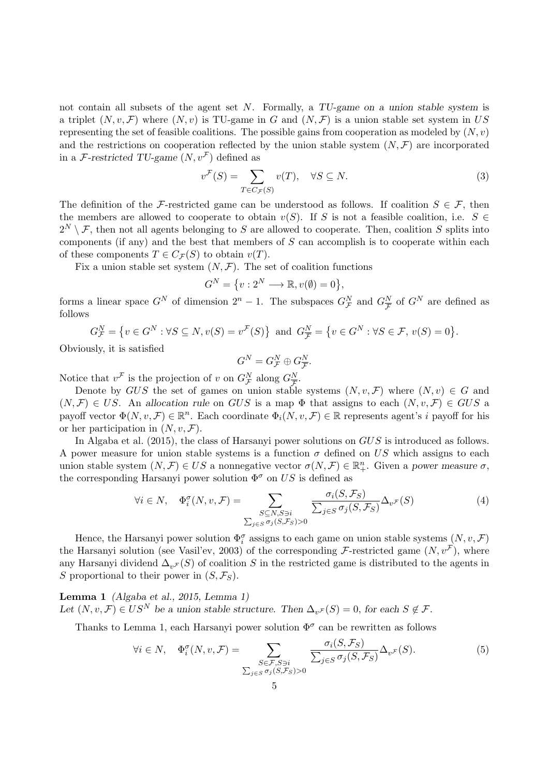not contain all subsets of the agent set N. Formally, a  $TU$ -game on a union stable system is a triplet  $(N, v, \mathcal{F})$  where  $(N, v)$  is TU-game in G and  $(N, \mathcal{F})$  is a union stable set system in US representing the set of feasible coalitions. The possible gains from cooperation as modeled by  $(N, v)$ and the restrictions on cooperation reflected by the union stable system  $(N, \mathcal{F})$  are incorporated in a F-restricted TU-game  $(N, v^{\mathcal{F}})$  defined as

$$
v^{\mathcal{F}}(S) = \sum_{T \in C_{\mathcal{F}}(S)} v(T), \quad \forall S \subseteq N.
$$
\n(3)

The definition of the F-restricted game can be understood as follows. If coalition  $S \in \mathcal{F}$ , then the members are allowed to cooperate to obtain  $v(S)$ . If S is not a feasible coalition, i.e. S  $\in$  $2^N \setminus \mathcal{F}$ , then not all agents belonging to S are allowed to cooperate. Then, coalition S splits into components (if any) and the best that members of  $S$  can accomplish is to cooperate within each of these components  $T \in C_{\mathcal{F}}(S)$  to obtain  $v(T)$ .

Fix a union stable set system  $(N, \mathcal{F})$ . The set of coalition functions

$$
G^N = \{v: 2^N \longrightarrow \mathbb{R}, v(\emptyset) = 0\},\
$$

forms a linear space  $G^N$  of dimension  $2^n - 1$ . The subspaces  $G^N_{\mathcal{F}}$  and  $G^N_{\overline{\mathcal{F}}}$  of  $G^N$  are defined as follows

 $G_{\mathcal{F}}^{N} = \left\{ v \in G^{N} : \forall S \subseteq N, v(S) = v^{\mathcal{F}}(S) \right\}$  and  $G_{\overline{\mathcal{F}}}^{N}$  $\frac{N}{\mathcal{F}} = \{v \in G^N : \forall S \in \mathcal{F}, v(S) = 0\}.$ 

Obviously, it is satisfied

$$
G^N = G^N_{\mathcal{F}} \oplus G^N_{\overline{\mathcal{F}}}.
$$

Notice that  $v^{\mathcal{F}}$  is the projection of v on  $G_{\mathcal{F}}^{N}$  along  $G_{\overline{\mathcal{F}}}^{N}$ .

Denote by GUS the set of games on union stable systems  $(N, v, \mathcal{F})$  where  $(N, v) \in G$  and  $(N, \mathcal{F}) \in US$ . An allocation rule on GUS is a map  $\Phi$  that assigns to each  $(N, v, \mathcal{F}) \in GUS$  a payoff vector  $\Phi(N, v, \mathcal{F}) \in \mathbb{R}^n$ . Each coordinate  $\Phi_i(N, v, \mathcal{F}) \in \mathbb{R}$  represents agent's *i* payoff for his or her participation in  $(N, v, \mathcal{F}).$ 

In Algaba et al. (2015), the class of Harsanyi power solutions on  $GUS$  is introduced as follows. A power measure for union stable systems is a function  $\sigma$  defined on US which assigns to each union stable system  $(N, \mathcal{F}) \in US$  a nonnegative vector  $\sigma(N, \mathcal{F}) \in \mathbb{R}^n_+$ . Given a power measure  $\sigma$ , the corresponding Harsanyi power solution  $\Phi^{\sigma}$  on US is defined as

$$
\forall i \in N, \quad \Phi_i^{\sigma}(N, v, \mathcal{F}) = \sum_{\substack{S \subseteq N, S \ni i \\ \sum_{j \in S} \sigma_j(S, \mathcal{F}_S) > 0}} \frac{\sigma_i(S, \mathcal{F}_S)}{\sum_{j \in S} \sigma_j(S, \mathcal{F}_S)} \Delta_{v^{\mathcal{F}}}(S) \tag{4}
$$

Hence, the Harsanyi power solution  $\Phi_i^{\sigma}$  assigns to each game on union stable systems  $(N, v, \mathcal{F})$ the Harsanyi solution (see Vasil'ev, 2003) of the corresponding F-restricted game  $(N, v^{\mathcal{F}})$ , where any Harsanyi dividend  $\Delta_{n}F(S)$  of coalition S in the restricted game is distributed to the agents in S proportional to their power in  $(S, \mathcal{F}_S)$ .

Lemma 1 (Algaba et al., 2015, Lemma 1) Let  $(N, v, \mathcal{F}) \in US^N$  be a union stable structure. Then  $\Delta_{v}F(S) = 0$ , for each  $S \notin \mathcal{F}$ .

Thanks to Lemma 1, each Harsanyi power solution  $\Phi^{\sigma}$  can be rewritten as follows

$$
\forall i \in N, \quad \Phi_i^{\sigma}(N, v, \mathcal{F}) = \sum_{\substack{S \in \mathcal{F}, S \ni i \\ \sum_{j \in S} \sigma_j(S, \mathcal{F}_S) > 0}} \frac{\sigma_i(S, \mathcal{F}_S)}{\sum_{j \in S} \sigma_j(S, \mathcal{F}_S)} \Delta_{v^{\mathcal{F}}}(S). \tag{5}
$$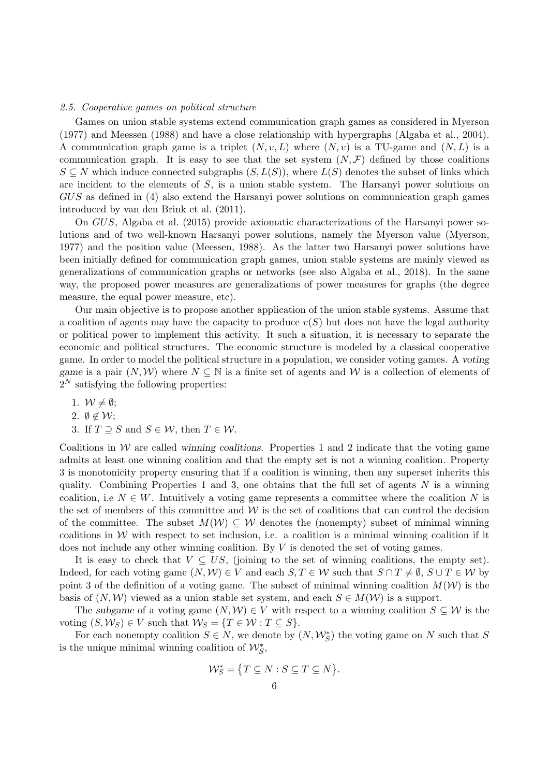#### 2.5. Cooperative games on political structure

Games on union stable systems extend communication graph games as considered in Myerson (1977) and Meessen (1988) and have a close relationship with hypergraphs (Algaba et al., 2004). A communication graph game is a triplet  $(N, v, L)$  where  $(N, v)$  is a TU-game and  $(N, L)$  is a communication graph. It is easy to see that the set system  $(N, \mathcal{F})$  defined by those coalitions  $S \subseteq N$  which induce connected subgraphs  $(S, L(S))$ , where  $L(S)$  denotes the subset of links which are incident to the elements of  $S$ , is a union stable system. The Harsanyi power solutions on  $GUS$  as defined in (4) also extend the Harsanyi power solutions on communication graph games introduced by van den Brink et al. (2011).

On GUS, Algaba et al. (2015) provide axiomatic characterizations of the Harsanyi power solutions and of two well-known Harsanyi power solutions, namely the Myerson value (Myerson, 1977) and the position value (Meessen, 1988). As the latter two Harsanyi power solutions have been initially defined for communication graph games, union stable systems are mainly viewed as generalizations of communication graphs or networks (see also Algaba et al., 2018). In the same way, the proposed power measures are generalizations of power measures for graphs (the degree measure, the equal power measure, etc).

Our main objective is to propose another application of the union stable systems. Assume that a coalition of agents may have the capacity to produce  $v(S)$  but does not have the legal authority or political power to implement this activity. It such a situation, it is necessary to separate the economic and political structures. The economic structure is modeled by a classical cooperative game. In order to model the political structure in a population, we consider voting games. A voting game is a pair  $(N, W)$  where  $N \subseteq \mathbb{N}$  is a finite set of agents and W is a collection of elements of  $2^N$  satisfying the following properties:

- 1.  $W \neq \emptyset$ :
- 2.  $\emptyset \notin \mathcal{W}$ ;
- 3. If  $T \supset S$  and  $S \in \mathcal{W}$ , then  $T \in \mathcal{W}$ .

Coalitions in  $W$  are called winning coalitions. Properties 1 and 2 indicate that the voting game admits at least one winning coalition and that the empty set is not a winning coalition. Property 3 is monotonicity property ensuring that if a coalition is winning, then any superset inherits this quality. Combining Properties 1 and 3, one obtains that the full set of agents  $N$  is a winning coalition, i.e  $N \in W$ . Intuitively a voting game represents a committee where the coalition N is the set of members of this committee and  $W$  is the set of coalitions that can control the decision of the committee. The subset  $M(\mathcal{W}) \subseteq \mathcal{W}$  denotes the (nonempty) subset of minimal winning coalitions in W with respect to set inclusion, i.e. a coalition is a minimal winning coalition if it does not include any other winning coalition. By  $V$  is denoted the set of voting games.

It is easy to check that  $V \subseteq US$ , (joining to the set of winning coalitions, the empty set). Indeed, for each voting game  $(N, W) \in V$  and each  $S, T \in W$  such that  $S \cap T \neq \emptyset$ ,  $S \cup T \in W$  by point 3 of the definition of a voting game. The subset of minimal winning coalition  $M(\mathcal{W})$  is the basis of  $(N, W)$  viewed as a union stable set system, and each  $S \in M(W)$  is a support.

The subgame of a voting game  $(N, W) \in V$  with respect to a winning coalition  $S \subseteq W$  is the voting  $(S, \mathcal{W}_S) \in V$  such that  $\mathcal{W}_S = \{T \in \mathcal{W} : T \subseteq S\}.$ 

For each nonempty coalition  $S \in N$ , we denote by  $(N, \mathcal{W}_{S}^{*})$  the voting game on N such that S is the unique minimal winning coalition of  $\mathcal{W}_S^*$ ,

$$
\mathcal{W}_S^* = \{ T \subseteq N : S \subseteq T \subseteq N \}.
$$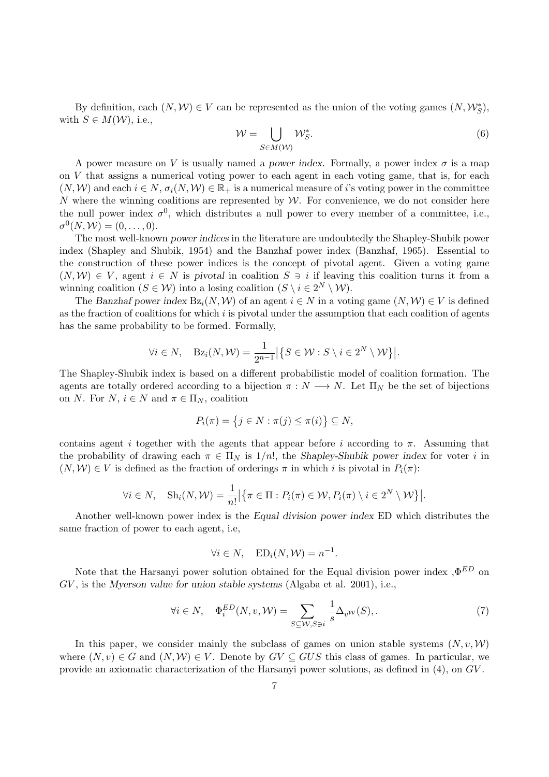By definition, each  $(N, W) \in V$  can be represented as the union of the voting games  $(N, W_S^*),$ with  $S \in M(\mathcal{W})$ , i.e.,

$$
\mathcal{W} = \bigcup_{S \in M(\mathcal{W})} \mathcal{W}_S^*.
$$
\n<sup>(6)</sup>

A power measure on V is usually named a power index. Formally, a power index  $\sigma$  is a map on  $V$  that assigns a numerical voting power to each agent in each voting game, that is, for each  $(N, \mathcal{W})$  and each  $i \in N$ ,  $\sigma_i(N, \mathcal{W}) \in \mathbb{R}_+$  is a numerical measure of i's voting power in the committee N where the winning coalitions are represented by  $W$ . For convenience, we do not consider here the null power index  $\sigma^0$ , which distributes a null power to every member of a committee, i.e.,  $\sigma^0(N, \mathcal{W}) = (0, \ldots, 0).$ 

The most well-known power indices in the literature are undoubtedly the Shapley-Shubik power index (Shapley and Shubik, 1954) and the Banzhaf power index (Banzhaf, 1965). Essential to the construction of these power indices is the concept of pivotal agent. Given a voting game  $(N, W) \in V$ , agent  $i \in N$  is pivotal in coalition  $S \ni i$  if leaving this coalition turns it from a winning coalition  $(S \in \mathcal{W})$  into a losing coalition  $(S \setminus i \in 2^N \setminus \mathcal{W})$ .

The Banzhaf power index  $Bz_i(N, W)$  of an agent  $i \in N$  in a voting game  $(N, W) \in V$  is defined as the fraction of coalitions for which  $i$  is pivotal under the assumption that each coalition of agents has the same probability to be formed. Formally,

$$
\forall i \in N, \quad \text{Bz}_i(N, \mathcal{W}) = \frac{1}{2^{n-1}} |\{ S \in \mathcal{W} : S \setminus i \in 2^N \setminus \mathcal{W} \}|.
$$

The Shapley-Shubik index is based on a different probabilistic model of coalition formation. The agents are totally ordered according to a bijection  $\pi : N \longrightarrow N$ . Let  $\Pi_N$  be the set of bijections on N. For N,  $i \in N$  and  $\pi \in \Pi_N$ , coalition

$$
P_i(\pi) = \{ j \in N : \pi(j) \le \pi(i) \} \subseteq N,
$$

contains agent i together with the agents that appear before i according to  $\pi$ . Assuming that the probability of drawing each  $\pi \in \Pi_N$  is  $1/n!$ , the Shapley-Shubik power index for voter i in  $(N, W) \in V$  is defined as the fraction of orderings  $\pi$  in which i is pivotal in  $P_i(\pi)$ :

$$
\forall i \in N, \quad \text{Sh}_i(N, \mathcal{W}) = \frac{1}{n!} \big| \{ \pi \in \Pi : P_i(\pi) \in \mathcal{W}, P_i(\pi) \setminus i \in 2^N \setminus \mathcal{W} \} \big|.
$$

Another well-known power index is the Equal division power index ED which distributes the same fraction of power to each agent, i.e,

$$
\forall i \in N, \quad \mathbf{ED}_i(N, \mathcal{W}) = n^{-1}.
$$

Note that the Harsanyi power solution obtained for the Equal division power index , $\Phi^{ED}$  on GV, is the Myerson value for union stable systems (Algaba et al. 2001), i.e.,

$$
\forall i \in N, \quad \Phi_i^{ED}(N, v, \mathcal{W}) = \sum_{S \subseteq \mathcal{W}, S \ni i} \frac{1}{s} \Delta_{v^{\mathcal{W}}}(S), \tag{7}
$$

In this paper, we consider mainly the subclass of games on union stable systems  $(N, v, W)$ where  $(N, v) \in G$  and  $(N, W) \in V$ . Denote by  $GV \subseteq GUS$  this class of games. In particular, we provide an axiomatic characterization of the Harsanyi power solutions, as defined in (4), on GV .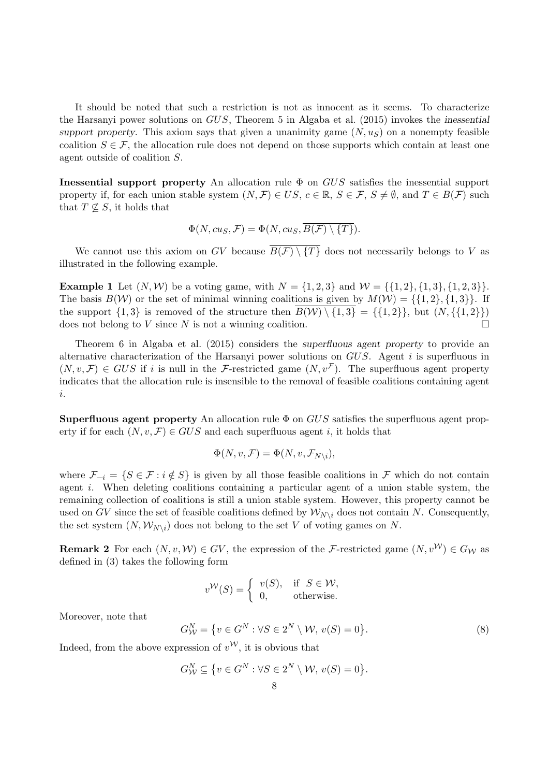It should be noted that such a restriction is not as innocent as it seems. To characterize the Harsanyi power solutions on GUS, Theorem 5 in Algaba et al. (2015) invokes the inessential support property. This axiom says that given a unanimity game  $(N, u<sub>S</sub>)$  on a nonempty feasible coalition  $S \in \mathcal{F}$ , the allocation rule does not depend on those supports which contain at least one agent outside of coalition S.

**Inessential support property** An allocation rule  $\Phi$  on  $GUS$  satisfies the inessential support property if, for each union stable system  $(N, \mathcal{F}) \in US, c \in \mathbb{R}, S \in \mathcal{F}, S \neq \emptyset$ , and  $T \in B(\mathcal{F})$  such that  $T \not\subseteq S$ , it holds that

$$
\Phi(N, c u_S, \mathcal{F}) = \Phi(N, c u_S, \overline{B(\mathcal{F}) \setminus \{T\}}).
$$

We cannot use this axiom on GV because  $\overline{B(\mathcal{F}) \setminus \{T\}}$  does not necessarily belongs to V as illustrated in the following example.

**Example 1** Let  $(N, W)$  be a voting game, with  $N = \{1, 2, 3\}$  and  $W = \{\{1, 2\}, \{1, 3\}, \{1, 2, 3\}\}.$ The basis  $B(W)$  or the set of minimal winning coalitions is given by  $M(W) = \{\{1, 2\}, \{1, 3\}\}\.$  If the support  $\{1,3\}$  is removed of the structure then  $\overline{B(W)\setminus\{1,3\}} = \{\{1,2\}\}\$ , but  $(N,\{\{1,2\}\})$ does not belong to  $V$  since  $N$  is not a winning coalition.

Theorem 6 in Algaba et al. (2015) considers the superfluous agent property to provide an alternative characterization of the Harsanyi power solutions on GUS. Agent i is superfluous in  $(N, v, \mathcal{F}) \in GUS$  if i is null in the F-restricted game  $(N, v^{\mathcal{F}})$ . The superfluous agent property indicates that the allocation rule is insensible to the removal of feasible coalitions containing agent i.

Superfluous agent property An allocation rule  $\Phi$  on  $GUS$  satisfies the superfluous agent property if for each  $(N, v, \mathcal{F}) \in GUS$  and each superfluous agent i, it holds that

$$
\Phi(N, v, \mathcal{F}) = \Phi(N, v, \mathcal{F}_{N \setminus i}),
$$

where  $\mathcal{F}_{-i} = \{S \in \mathcal{F} : i \notin S\}$  is given by all those feasible coalitions in  $\mathcal{F}$  which do not contain agent i. When deleting coalitions containing a particular agent of a union stable system, the remaining collection of coalitions is still a union stable system. However, this property cannot be used on GV since the set of feasible coalitions defined by  $\mathcal{W}_{N\setminus i}$  does not contain N. Consequently, the set system  $(N, \mathcal{W}_{N \setminus i})$  does not belong to the set V of voting games on N.

**Remark 2** For each  $(N, v, W) \in GV$ , the expression of the *F*-restricted game  $(N, v^W) \in G_W$  as defined in (3) takes the following form

$$
v^{\mathcal{W}}(S) = \begin{cases} v(S), & \text{if } S \in \mathcal{W}, \\ 0, & \text{otherwise.} \end{cases}
$$

Moreover, note that

$$
G_W^N = \{ v \in G^N : \forall S \in 2^N \setminus \mathcal{W}, \, v(S) = 0 \}.
$$
\n
$$
(8)
$$

Indeed, from the above expression of  $v^{\mathcal{W}}$ , it is obvious that

$$
G_{\mathcal{W}}^{N} \subseteq \{ v \in G^{N} : \forall S \in 2^{N} \setminus \mathcal{W}, v(S) = 0 \}.
$$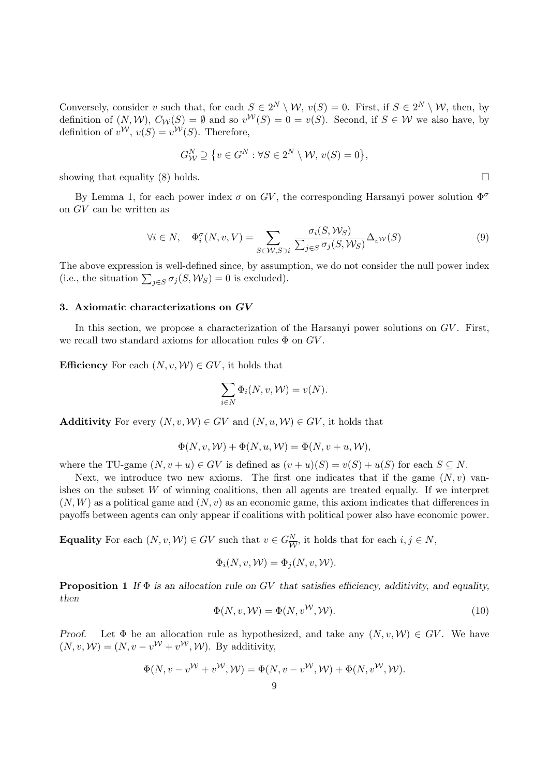Conversely, consider v such that, for each  $S \in 2^N \setminus \mathcal{W}$ ,  $v(S) = 0$ . First, if  $S \in 2^N \setminus \mathcal{W}$ , then, by definition of  $(N, W)$ ,  $C_W(S) = \emptyset$  and so  $v^W(S) = 0 = v(S)$ . Second, if  $S \in W$  we also have, by definition of  $v^{\mathcal{W}}, v(S) = v^{\mathcal{W}}(S)$ . Therefore,

$$
G_{\mathcal{W}}^{N} \supseteq \{v \in G^{N} : \forall S \in 2^{N} \setminus \mathcal{W}, v(S) = 0\},\
$$

showing that equality (8) holds.  $\square$ 

By Lemma 1, for each power index  $\sigma$  on GV, the corresponding Harsanyi power solution  $\Phi^{\sigma}$ on GV can be written as

$$
\forall i \in N, \quad \Phi_i^{\sigma}(N, v, V) = \sum_{S \in \mathcal{W}, S \ni i} \frac{\sigma_i(S, \mathcal{W}_S)}{\sum_{j \in S} \sigma_j(S, \mathcal{W}_S)} \Delta_{v^{\mathcal{W}}}(S)
$$
(9)

The above expression is well-defined since, by assumption, we do not consider the null power index (i.e., the situation  $\sum_{j \in S} \sigma_j(S, \mathcal{W}_S) = 0$  is excluded).

#### 3. Axiomatic characterizations on GV

In this section, we propose a characterization of the Harsanyi power solutions on GV . First, we recall two standard axioms for allocation rules  $\Phi$  on  $GV$ .

Efficiency For each  $(N, v, W) \in GV$ , it holds that

$$
\sum_{i\in N}\Phi_i(N,v,\mathcal{W})=v(N).
$$

Additivity For every  $(N, v, W) \in GV$  and  $(N, u, W) \in GV$ , it holds that

$$
\Phi(N, v, \mathcal{W}) + \Phi(N, u, \mathcal{W}) = \Phi(N, v + u, \mathcal{W}),
$$

where the TU-game  $(N, v + u) \in GV$  is defined as  $(v + u)(S) = v(S) + u(S)$  for each  $S \subseteq N$ .

Next, we introduce two new axioms. The first one indicates that if the game  $(N, v)$  vanishes on the subset  $W$  of winning coalitions, then all agents are treated equally. If we interpret  $(N, W)$  as a political game and  $(N, v)$  as an economic game, this axiom indicates that differences in payoffs between agents can only appear if coalitions with political power also have economic power.

**Equality** For each  $(N, v, W) \in GV$  such that  $v \in G^N_{\overline{W}}$ , it holds that for each  $i, j \in N$ ,

$$
\Phi_i(N, v, \mathcal{W}) = \Phi_j(N, v, \mathcal{W}).
$$

**Proposition 1** If  $\Phi$  is an allocation rule on GV that satisfies efficiency, additivity, and equality, then

$$
\Phi(N, v, \mathcal{W}) = \Phi(N, v^{\mathcal{W}}, \mathcal{W}).
$$
\n(10)

Proof. Let  $\Phi$  be an allocation rule as hypothesized, and take any  $(N, v, W) \in GV$ . We have  $(N, v, W) = (N, v - v^W + v^W, W)$ . By additivity,

$$
\Phi(N, v - v^{\mathcal{W}} + v^{\mathcal{W}}, \mathcal{W}) = \Phi(N, v - v^{\mathcal{W}}, \mathcal{W}) + \Phi(N, v^{\mathcal{W}}, \mathcal{W}).
$$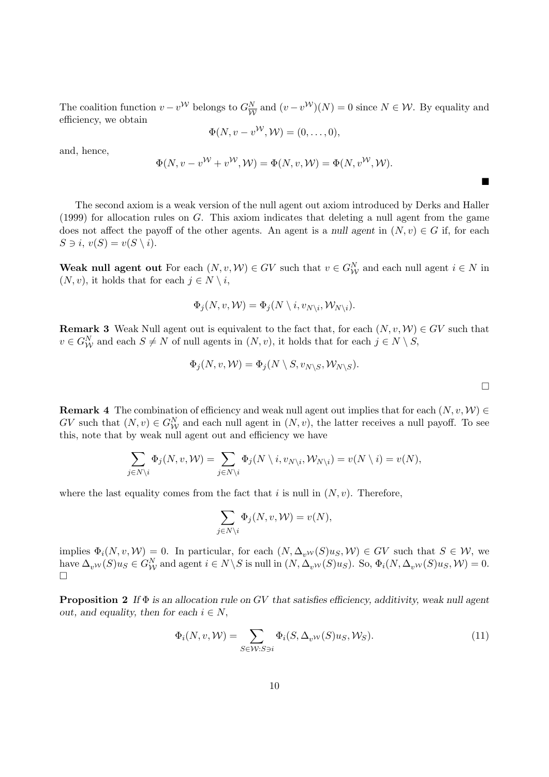The coalition function  $v - v^{\mathcal{W}}$  belongs to  $G_{\overline{\mathcal{W}}}^N$  and  $(v - v^{\mathcal{W}})(N) = 0$  since  $N \in \mathcal{W}$ . By equality and efficiency, we obtain

$$
\Phi(N, v - v^{\mathcal{W}}, \mathcal{W}) = (0, \dots, 0),
$$

and, hence,

$$
\Phi(N, v - vW + vW, W) = \Phi(N, v, W) = \Phi(N, vW, W).
$$

The second axiom is a weak version of the null agent out axiom introduced by Derks and Haller (1999) for allocation rules on G. This axiom indicates that deleting a null agent from the game does not affect the payoff of the other agents. An agent is a null agent in  $(N, v) \in G$  if, for each  $S \ni i, v(S) = v(S \setminus i).$ 

Weak null agent out For each  $(N, v, W) \in GV$  such that  $v \in G_W^N$  and each null agent  $i \in N$  in  $(N, v)$ , it holds that for each  $j \in N \setminus i$ ,

$$
\Phi_j(N,v,\mathcal{W})=\Phi_j(N\setminus i,v_{N\setminus i},\mathcal{W}_{N\setminus i}).
$$

**Remark 3** Weak Null agent out is equivalent to the fact that, for each  $(N, v, W) \in GV$  such that  $v \in G_{\mathcal{W}}^{N}$  and each  $S \neq N$  of null agents in  $(N, v)$ , it holds that for each  $j \in N \setminus S$ ,

$$
\Phi_j(N, v, \mathcal{W}) = \Phi_j(N \setminus S, v_{N \setminus S}, \mathcal{W}_{N \setminus S}).
$$

п

**Remark 4** The combination of efficiency and weak null agent out implies that for each  $(N, v, W)$ GV such that  $(N, v) \in G_{\mathcal{W}}^{N}$  and each null agent in  $(N, v)$ , the latter receives a null payoff. To see this, note that by weak null agent out and efficiency we have

$$
\sum_{j \in N \setminus i} \Phi_j(N, v, \mathcal{W}) = \sum_{j \in N \setminus i} \Phi_j(N \setminus i, v_{N \setminus i}, \mathcal{W}_{N \setminus i}) = v(N \setminus i) = v(N),
$$

where the last equality comes from the fact that i is null in  $(N, v)$ . Therefore,

$$
\sum_{j \in N \backslash i} \Phi_j(N,v,\mathcal{W}) = v(N),
$$

implies  $\Phi_i(N, v, \mathcal{W}) = 0$ . In particular, for each  $(N, \Delta_{v^{\mathcal{W}}}(S)u_S, \mathcal{W}) \in GV$  such that  $S \in \mathcal{W}$ , we have  $\Delta_v \mathcal{W}(S)u_S \in G_{\mathcal{W}}^N$  and agent  $i \in N \backslash S$  is null in  $(N, \Delta_v \mathcal{W}(S)u_S)$ . So,  $\Phi_i(N, \Delta_v \mathcal{W}(S)u_S, \mathcal{W}) = 0$ .  $\Box$ 

**Proposition 2** If  $\Phi$  is an allocation rule on GV that satisfies efficiency, additivity, weak null agent out, and equality, then for each  $i \in N$ ,

$$
\Phi_i(N, v, \mathcal{W}) = \sum_{S \in \mathcal{W}: S \ni i} \Phi_i(S, \Delta_{v^{\mathcal{W}}}(S)u_S, \mathcal{W}_S).
$$
\n(11)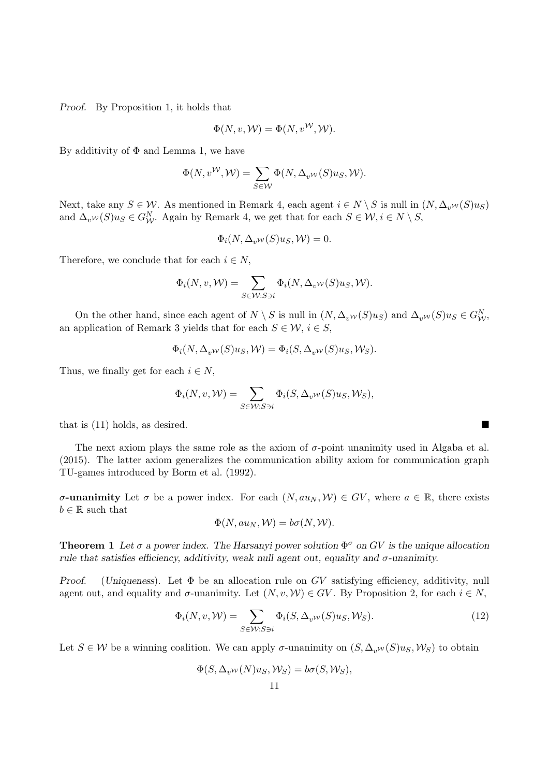Proof. By Proposition 1, it holds that

$$
\Phi(N, v, \mathcal{W}) = \Phi(N, v^{\mathcal{W}}, \mathcal{W}).
$$

By additivity of  $\Phi$  and Lemma 1, we have

$$
\Phi(N, v^{\mathcal{W}}, \mathcal{W}) = \sum_{S \in \mathcal{W}} \Phi(N, \Delta_{v^{\mathcal{W}}}(S)u_S, \mathcal{W}).
$$

Next, take any  $S \in \mathcal{W}$ . As mentioned in Remark 4, each agent  $i \in N \setminus S$  is null in  $(N, \Delta_{vW}(S)u_S)$ and  $\Delta_v \mathcal{W}(S)u_S \in G_{\mathcal{W}}^N$ . Again by Remark 4, we get that for each  $S \in \mathcal{W}, i \in N \setminus S$ ,

$$
\Phi_i(N, \Delta_{v^{\mathcal{W}}}(S)u_S, \mathcal{W}) = 0.
$$

Therefore, we conclude that for each  $i \in N$ ,

$$
\Phi_i(N,v,\mathcal{W}) = \sum_{S \in \mathcal{W}: S \ni i} \Phi_i(N,\Delta_{v^{\mathcal{W}}}(S)u_S, \mathcal{W}).
$$

On the other hand, since each agent of  $N \setminus S$  is null in  $(N, \Delta_{v^{\mathcal{W}}}(S)u_S)$  and  $\Delta_{v^{\mathcal{W}}}(S)u_S \in G_{\mathcal{W}}^N$ , an application of Remark 3 yields that for each  $S \in \mathcal{W}, i \in S$ ,

$$
\Phi_i(N, \Delta_{v^{\mathcal{W}}}(S)u_S, \mathcal{W}) = \Phi_i(S, \Delta_{v^{\mathcal{W}}}(S)u_S, \mathcal{W}_S).
$$

Thus, we finally get for each  $i \in N$ ,

$$
\Phi_i(N, v, \mathcal{W}) = \sum_{S \in \mathcal{W}: S \ni i} \Phi_i(S, \Delta_{v^{\mathcal{W}}}(S) u_S, \mathcal{W}_S),
$$

that is (11) holds, as desired.

The next axiom plays the same role as the axiom of σ-point unanimity used in Algaba et al. (2015). The latter axiom generalizes the communication ability axiom for communication graph TU-games introduced by Borm et al. (1992).

σ-unanimity Let σ be a power index. For each  $(N, au_N, W) \in GV$ , where  $a \in \mathbb{R}$ , there exists  $b \in \mathbb{R}$  such that

$$
\Phi(N, au_N, \mathcal{W}) = b\sigma(N, \mathcal{W}).
$$

**Theorem 1** Let  $\sigma$  a power index. The Harsanyi power solution  $\Phi^{\sigma}$  on GV is the unique allocation rule that satisfies efficiency, additivity, weak null agent out, equality and  $\sigma$ -unanimity.

Proof. (Uniqueness). Let  $\Phi$  be an allocation rule on GV satisfying efficiency, additivity, null agent out, and equality and  $\sigma$ -unanimity. Let  $(N, v, \mathcal{W}) \in GV$ . By Proposition 2, for each  $i \in N$ ,

$$
\Phi_i(N, v, \mathcal{W}) = \sum_{S \in \mathcal{W}: S \ni i} \Phi_i(S, \Delta_{v^{\mathcal{W}}}(S)u_S, \mathcal{W}_S).
$$
\n(12)

Let  $S \in \mathcal{W}$  be a winning coalition. We can apply  $\sigma$ -unanimity on  $(S, \Delta_{v^{\mathcal{W}}}(S)u_S, \mathcal{W}_S)$  to obtain

$$
\Phi(S, \Delta_{v} \mathcal{W}(N) u_S, \mathcal{W}_S) = b \sigma(S, \mathcal{W}_S),
$$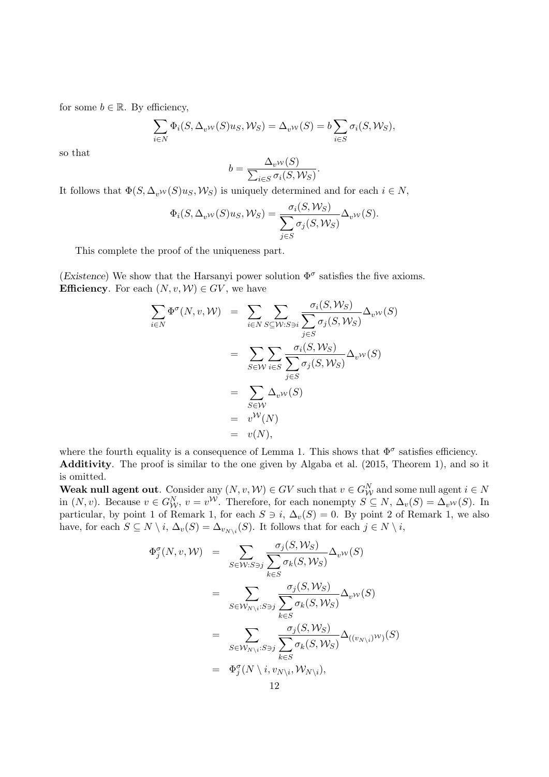for some  $b \in \mathbb{R}$ . By efficiency,

$$
\sum_{i\in N}\Phi_i(S,\Delta_{v^{\mathcal{W}}}(S)u_S,\mathcal{W}_S)=\Delta_{v^{\mathcal{W}}}(S)=b\sum_{i\in S}\sigma_i(S,\mathcal{W}_S),
$$

so that

$$
b = \frac{\Delta_v w(S)}{\sum_{i \in S} \sigma_i(S, \mathcal{W}_S)}.
$$

It follows that  $\Phi(S, \Delta_n w(S)u_S, \mathcal{W}_S)$  is uniquely determined and for each  $i \in N$ ,

$$
\Phi_i(S, \Delta_v w(S)u_S, \mathcal{W}_S) = \frac{\sigma_i(S, \mathcal{W}_S)}{\sum_{j \in S} \sigma_j(S, \mathcal{W}_S)} \Delta_v w(S).
$$

This complete the proof of the uniqueness part.

(Existence) We show that the Harsanyi power solution  $\Phi^{\sigma}$  satisfies the five axioms. **Efficiency**. For each  $(N, v, \mathcal{W}) \in GV$ , we have

$$
\sum_{i \in N} \Phi^{\sigma}(N, v, \mathcal{W}) = \sum_{i \in N} \sum_{S \subseteq \mathcal{W}: S \ni i} \frac{\sigma_i(S, \mathcal{W}_S)}{\sum_{j \in S} \sigma_j(S, \mathcal{W}_S)} \Delta_{v^{\mathcal{W}}}(S)
$$

$$
= \sum_{S \in \mathcal{W}} \sum_{i \in S} \frac{\sigma_i(S, \mathcal{W}_S)}{\sum_{j \in S} \sigma_j(S, \mathcal{W}_S)} \Delta_{v^{\mathcal{W}}}(S)
$$

$$
= \sum_{S \in \mathcal{W}} \Delta_{v^{\mathcal{W}}}(S)
$$

$$
= v^{\mathcal{W}}(N)
$$

$$
= v(N),
$$

where the fourth equality is a consequence of Lemma 1. This shows that  $\Phi^{\sigma}$  satisfies efficiency. Additivity. The proof is similar to the one given by Algaba et al. (2015, Theorem 1), and so it is omitted.

Weak null agent out. Consider any  $(N, v, W) \in GV$  such that  $v \in G_W^N$  and some null agent  $i \in N$ in  $(N, v)$ . Because  $v \in G_{\mathcal{W}}^N$ ,  $v = v^{\mathcal{W}}$ . Therefore, for each nonempty  $S \subseteq N$ ,  $\Delta_v(S) = \Delta_{v^{\mathcal{W}}}(S)$ . In particular, by point 1 of Remark 1, for each  $S \ni i$ ,  $\Delta_v(S) = 0$ . By point 2 of Remark 1, we also have, for each  $S \subseteq N \setminus i$ ,  $\Delta_v(S) = \Delta_{v_{N\setminus i}}(S)$ . It follows that for each  $j \in N \setminus i$ ,

$$
\Phi_j^{\sigma}(N, v, \mathcal{W}) = \sum_{S \in \mathcal{W}: S \ni j} \frac{\sigma_j(S, \mathcal{W}_S)}{\sum_{k \in S} \sigma_k(S, \mathcal{W}_S)} \Delta_v w(S)
$$
  
\n
$$
= \sum_{S \in \mathcal{W}_{N \setminus i}: S \ni j} \frac{\sigma_j(S, \mathcal{W}_S)}{\sum_{k \in S} \sigma_k(S, \mathcal{W}_S)} \Delta_v w(S)
$$
  
\n
$$
= \sum_{S \in \mathcal{W}_{N \setminus i}: S \ni j} \frac{\sigma_j(S, \mathcal{W}_S)}{\sum_{k \in S} \sigma_k(S, \mathcal{W}_S)} \Delta_{((v_{N \setminus i})\mathcal{W})}(S)
$$
  
\n
$$
= \Phi_j^{\sigma}(N \setminus i, v_{N \setminus i}, \mathcal{W}_{N \setminus i}),
$$
  
\n12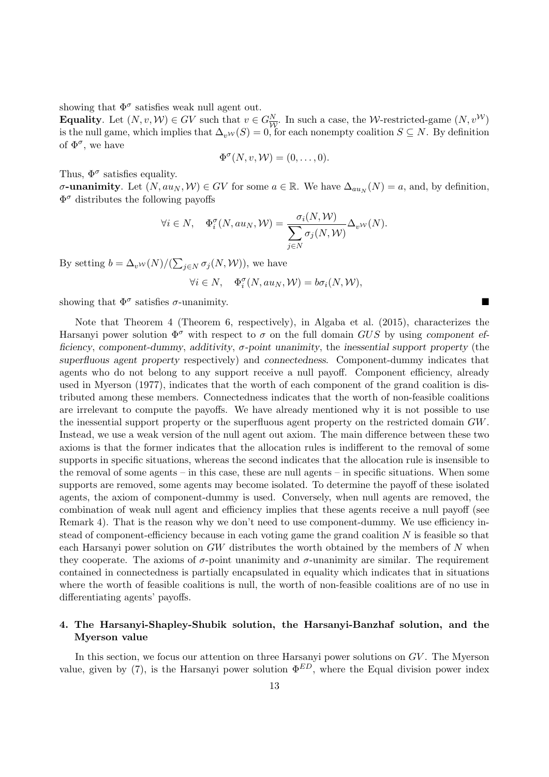showing that  $\Phi^{\sigma}$  satisfies weak null agent out.

**Equality**. Let  $(N, v, W) \in GV$  such that  $v \in G_{\overline{W}}^N$ . In such a case, the W-restricted-game  $(N, v^W)$ is the null game, which implies that  $\Delta_v \mathcal{W}(S) = 0$ , for each nonempty coalition  $S \subseteq N$ . By definition of  $\Phi^{\sigma}$ , we have

$$
\Phi^{\sigma}(N, v, \mathcal{W}) = (0, \dots, 0).
$$

Thus,  $\Phi^{\sigma}$  satisfies equality.

 $\sigma$ -unanimity. Let  $(N, au_N, W) \in GV$  for some  $a \in \mathbb{R}$ . We have  $\Delta_{au_N}(N) = a$ , and, by definition,  $\Phi^{\sigma}$  distributes the following payoffs

$$
\forall i \in N, \quad \Phi_i^{\sigma}(N, au_N, \mathcal{W}) = \frac{\sigma_i(N, \mathcal{W})}{\sum_{j \in N} \sigma_j(N, \mathcal{W})} \Delta_{v^{\mathcal{W}}}(N).
$$

By setting  $b = \Delta_{v^{\mathcal{W}}}(N)/(\sum_{j \in N} \sigma_j(N, \mathcal{W}))$ , we have

$$
\forall i \in N, \quad \Phi_i^{\sigma}(N, au_N, \mathcal{W}) = b\sigma_i(N, \mathcal{W}),
$$

showing that  $\Phi^{\sigma}$  satisfies  $\sigma$ -unanimity.

Note that Theorem 4 (Theorem 6, respectively), in Algaba et al. (2015), characterizes the Harsanyi power solution  $\Phi^{\sigma}$  with respect to  $\sigma$  on the full domain GUS by using component efficiency, component-dummy, additivity,  $\sigma$ -point unanimity, the inessential support property (the superfluous agent property respectively) and connectedness. Component-dummy indicates that agents who do not belong to any support receive a null payoff. Component efficiency, already used in Myerson (1977), indicates that the worth of each component of the grand coalition is distributed among these members. Connectedness indicates that the worth of non-feasible coalitions are irrelevant to compute the payoffs. We have already mentioned why it is not possible to use the inessential support property or the superfluous agent property on the restricted domain GW. Instead, we use a weak version of the null agent out axiom. The main difference between these two axioms is that the former indicates that the allocation rules is indifferent to the removal of some supports in specific situations, whereas the second indicates that the allocation rule is insensible to the removal of some agents – in this case, these are null agents – in specific situations. When some supports are removed, some agents may become isolated. To determine the payoff of these isolated agents, the axiom of component-dummy is used. Conversely, when null agents are removed, the combination of weak null agent and efficiency implies that these agents receive a null payoff (see Remark 4). That is the reason why we don't need to use component-dummy. We use efficiency instead of component-efficiency because in each voting game the grand coalition  $N$  is feasible so that each Harsanyi power solution on  $GW$  distributes the worth obtained by the members of  $N$  when they cooperate. The axioms of  $\sigma$ -point unanimity and  $\sigma$ -unanimity are similar. The requirement contained in connectedness is partially encapsulated in equality which indicates that in situations where the worth of feasible coalitions is null, the worth of non-feasible coalitions are of no use in differentiating agents' payoffs.

#### 4. The Harsanyi-Shapley-Shubik solution, the Harsanyi-Banzhaf solution, and the Myerson value

In this section, we focus our attention on three Harsanyi power solutions on  $GV$ . The Myerson value, given by (7), is the Harsanyi power solution  $\Phi^{ED}$ , where the Equal division power index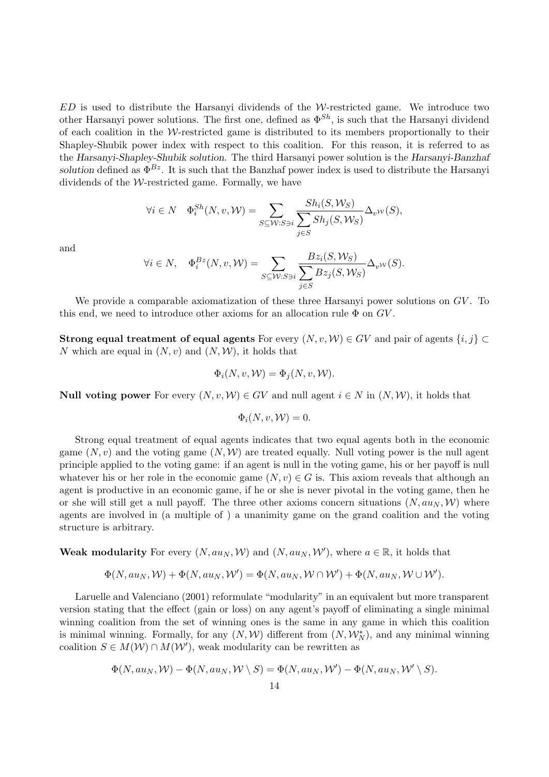$ED$  is used to distribute the Harsanyi dividends of the W-restricted game. We introduce two other Harsanyi power solutions. The first one, defined as  $\Phi^{Sh}$ , is such that the Harsanyi dividend of each coalition in the  $W$ -restricted game is distributed to its members proportionally to their Shapley-Shubik power index with respect to this coalition. For this reason, it is referred to as the Harsanyi-Shapley-Shubik solution. The third Harsanyi power solution is the Harsanyi-Banzhaf solution defined as  $\Phi^{Bz}$ . It is such that the Banzhaf power index is used to distribute the Harsanyi dividends of the  $W$ -restricted game. Formally, we have

$$
\forall i \in N \quad \Phi_i^{Sh}(N, v, \mathcal{W}) = \sum_{S \subseteq \mathcal{W}: S \ni i} \frac{Sh_i(S, \mathcal{W}_S)}{\sum_{j \in S} Sh_j(S, \mathcal{W}_S)} \Delta_{v^{\mathcal{W}}}(S),
$$

and

$$
\forall i \in N, \quad \Phi_i^{Bz}(N, v, \mathcal{W}) = \sum_{S \subseteq \mathcal{W}: S \ni i} \frac{Bz_i(S, \mathcal{W}_S)}{\sum_{j \in S} Bz_j(S, \mathcal{W}_S)} \Delta_v w(S).
$$

We provide a comparable axiomatization of these three Harsanyi power solutions on GV. To this end, we need to introduce other axioms for an allocation rule  $\Phi$  on  $GV$ .

**Strong equal treatment of equal agents** For every  $(N, v, W) \in GV$  and pair of agents  $\{i, j\} \subset$ N which are equal in  $(N, v)$  and  $(N, W)$ , it holds that

$$
\Phi_i(N, v, \mathcal{W}) = \Phi_j(N, v, \mathcal{W}).
$$

**Null voting power** For every  $(N, v, W) \in GV$  and null agent  $i \in N$  in  $(N, W)$ , it holds that

$$
\Phi_i(N, v, \mathcal{W}) = 0.
$$

Strong equal treatment of equal agents indicates that two equal agents both in the economic game  $(N, v)$  and the voting game  $(N, W)$  are treated equally. Null voting power is the null agent principle applied to the voting game: if an agent is null in the voting game, his or her payoff is null whatever his or her role in the economic game  $(N, v) \in G$  is. This axiom reveals that although an agent is productive in an economic game, if he or she is never pivotal in the voting game, then he or she will still get a null payoff. The three other axioms concern situations  $(N, a u_N, W)$  where agents are involved in (a multiple of ) a unanimity game on the grand coalition and the voting structure is arbitrary.

**Weak modularity** For every  $(N, au_N, W)$  and  $(N, au_N, W')$ , where  $a \in \mathbb{R}$ , it holds that

$$
\Phi(N, a u_N, \mathcal{W}) + \Phi(N, a u_N, \mathcal{W}') = \Phi(N, a u_N, \mathcal{W} \cap \mathcal{W}') + \Phi(N, a u_N, \mathcal{W} \cup \mathcal{W}').
$$

Laruelle and Valenciano (2001) reformulate "modularity" in an equivalent but more transparent version stating that the effect (gain or loss) on any agent's payoff of eliminating a single minimal winning coalition from the set of winning ones is the same in any game in which this coalition is minimal winning. Formally, for any  $(N, W)$  different from  $(N, \mathcal{W}_N^*)$ , and any minimal winning coalition  $S \in M(\mathcal{W}) \cap M(\mathcal{W}')$ , weak modularity can be rewritten as

$$
\Phi(N, a u_N, \mathcal{W}) - \Phi(N, a u_N, \mathcal{W} \setminus S) = \Phi(N, a u_N, \mathcal{W}') - \Phi(N, a u_N, \mathcal{W}' \setminus S).
$$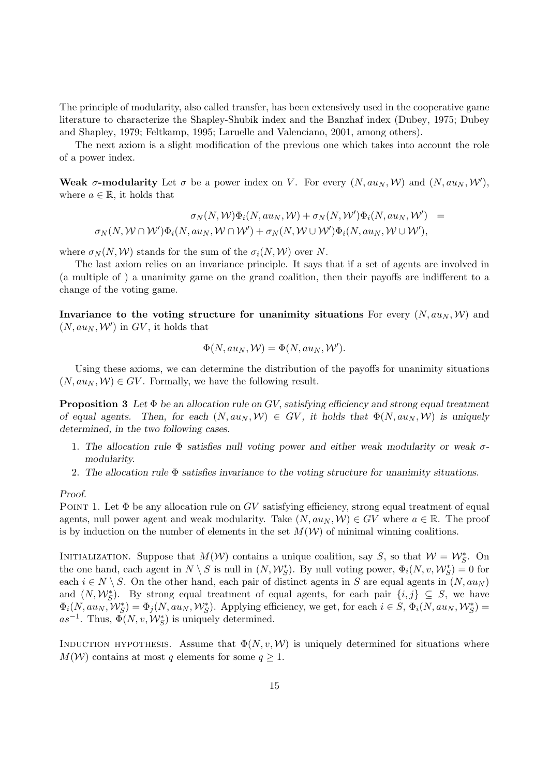The principle of modularity, also called transfer, has been extensively used in the cooperative game literature to characterize the Shapley-Shubik index and the Banzhaf index (Dubey, 1975; Dubey and Shapley, 1979; Feltkamp, 1995; Laruelle and Valenciano, 2001, among others).

The next axiom is a slight modification of the previous one which takes into account the role of a power index.

Weak  $\sigma$ -modularity Let  $\sigma$  be a power index on V. For every  $(N, au_N, W)$  and  $(N, au_N, W')$ , where  $a \in \mathbb{R}$ , it holds that

$$
\sigma_N(N, \mathcal{W}) \Phi_i(N, au_N, \mathcal{W}) + \sigma_N(N, \mathcal{W}') \Phi_i(N, au_N, \mathcal{W}') =
$$
  

$$
\sigma_N(N, \mathcal{W} \cap \mathcal{W}') \Phi_i(N, au_N, \mathcal{W} \cap \mathcal{W}') + \sigma_N(N, \mathcal{W} \cup \mathcal{W}') \Phi_i(N, au_N, \mathcal{W} \cup \mathcal{W}'),
$$

where  $\sigma_N(N, W)$  stands for the sum of the  $\sigma_i(N, W)$  over N.

The last axiom relies on an invariance principle. It says that if a set of agents are involved in (a multiple of ) a unanimity game on the grand coalition, then their payoffs are indifferent to a change of the voting game.

Invariance to the voting structure for unanimity situations For every  $(N, au_N, W)$  and  $(N, au_N, \mathcal{W}')$  in  $GV$ , it holds that

$$
\Phi(N, au_N, \mathcal{W}) = \Phi(N, au_N, \mathcal{W}').
$$

Using these axioms, we can determine the distribution of the payoffs for unanimity situations  $(N, au_N, W) \in GV$ . Formally, we have the following result.

**Proposition 3** Let  $\Phi$  be an allocation rule on GV, satisfying efficiency and strong equal treatment of equal agents. Then, for each  $(N, a u_N, W) \in GV$ , it holds that  $\Phi(N, a u_N, W)$  is uniquely determined, in the two following cases.

- 1. The allocation rule  $\Phi$  satisfies null voting power and either weak modularity or weak  $\sigma$ modularity.
- 2. The allocation rule  $\Phi$  satisfies invariance to the voting structure for unanimity situations.

#### Proof.

POINT 1. Let  $\Phi$  be any allocation rule on GV satisfying efficiency, strong equal treatment of equal agents, null power agent and weak modularity. Take  $(N, au_N, W) \in GV$  where  $a \in \mathbb{R}$ . The proof is by induction on the number of elements in the set  $M(W)$  of minimal winning coalitions.

INITIALIZATION. Suppose that  $M(\mathcal{W})$  contains a unique coalition, say S, so that  $\mathcal{W} = \mathcal{W}_S^*$ . On the one hand, each agent in  $N \setminus S$  is null in  $(N, \mathcal{W}_{S}^{*})$ . By null voting power,  $\Phi_i(N, v, \mathcal{W}_{S}^{*}) = 0$  for each  $i \in N \setminus S$ . On the other hand, each pair of distinct agents in S are equal agents in  $(N, au_N)$ and  $(N, \mathcal{W}_{S}^{*})$ . By strong equal treatment of equal agents, for each pair  $\{i, j\} \subseteq S$ , we have  $\Phi_i(N, au_N, \mathcal{W}_S^*) = \Phi_j(N, au_N, \mathcal{W}_S^*)$ . Applying efficiency, we get, for each  $i \in S$ ,  $\Phi_i(N, au_N, \mathcal{W}_S^*) =$  $as^{-1}$ . Thus,  $\tilde{\Phi}(N, v, \mathcal{W}_{S}^{*})$  is uniquely determined.

INDUCTION HYPOTHESIS. Assume that  $\Phi(N, v, W)$  is uniquely determined for situations where  $M(W)$  contains at most q elements for some  $q \geq 1$ .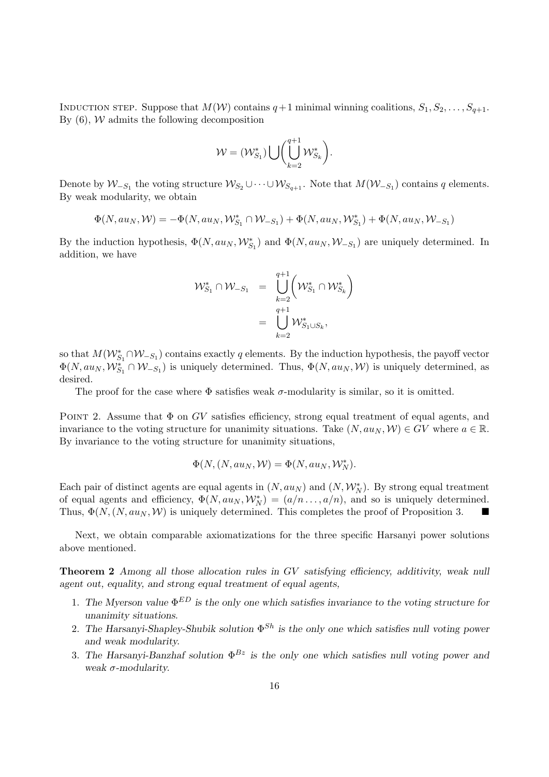INDUCTION STEP. Suppose that  $M(W)$  contains  $q+1$  minimal winning coalitions,  $S_1, S_2, \ldots, S_{q+1}$ . By  $(6)$ , W admits the following decomposition

$$
\mathcal{W} = (\mathcal{W}_{S_1}^*) \bigcup \biggl( \bigcup_{k=2}^{q+1} \mathcal{W}_{S_k}^* \biggr).
$$

Denote by  $W_{-S_1}$  the voting structure  $W_{S_2} \cup \cdots \cup W_{S_{q+1}}$ . Note that  $M(W_{-S_1})$  contains q elements. By weak modularity, we obtain

$$
\Phi(N,au_N,\mathcal{W})=-\Phi(N,au_N,\mathcal{W}^*_{S_1}\cap \mathcal{W}_{-S_1})+\Phi(N,au_N,\mathcal{W}^*_{S_1})+\Phi(N,au_N,\mathcal{W}_{-S_1})
$$

By the induction hypothesis,  $\Phi(N, au_N, \mathcal{W}_{S_1}^*)$  and  $\Phi(N, au_N, \mathcal{W}_{-S_1})$  are uniquely determined. In addition, we have

$$
\mathcal{W}_{S_1}^* \cap \mathcal{W}_{-S_1} = \bigcup_{k=2}^{q+1} \left( \mathcal{W}_{S_1}^* \cap \mathcal{W}_{S_k}^* \right)
$$
  
= 
$$
\bigcup_{k=2}^{q+1} \mathcal{W}_{S_1 \cup S_k}^*,
$$

so that  $M(\mathcal{W}_{S_1}^* \cap \mathcal{W}_{-S_1})$  contains exactly q elements. By the induction hypothesis, the payoff vector  $\Phi(N, au_N, \mathcal{W}_{S_1}^* \cap \mathcal{W}_{S_1})$  is uniquely determined. Thus,  $\Phi(N, au_N, \mathcal{W})$  is uniquely determined, as desired.

The proof for the case where  $\Phi$  satisfies weak  $\sigma$ -modularity is similar, so it is omitted.

POINT 2. Assume that  $\Phi$  on GV satisfies efficiency, strong equal treatment of equal agents, and invariance to the voting structure for unanimity situations. Take  $(N, au_N, W) \in GV$  where  $a \in \mathbb{R}$ . By invariance to the voting structure for unanimity situations,

$$
\Phi(N,(N,au_N,\mathcal{W})=\Phi(N,au_N,\mathcal{W}_N^*).
$$

Each pair of distinct agents are equal agents in  $(N, au_N)$  and  $(N, \mathcal{W}_N^*)$ . By strong equal treatment of equal agents and efficiency,  $\Phi(N, au_N, \mathcal{W}_N^*) = (a/n \dots, a/n)$ , and so is uniquely determined. Thus,  $\Phi(N,(N, au_N, W))$  is uniquely determined. This completes the proof of Proposition 3.

Next, we obtain comparable axiomatizations for the three specific Harsanyi power solutions above mentioned.

Theorem 2 Among all those allocation rules in GV satisfying efficiency, additivity, weak null agent out, equality, and strong equal treatment of equal agents,

- 1. The Myerson value  $\Phi^{ED}$  is the only one which satisfies invariance to the voting structure for unanimity situations.
- 2. The Harsanyi-Shapley-Shubik solution  $\Phi^{Sh}$  is the only one which satisfies null voting power and weak modularity.
- 3. The Harsanyi-Banzhaf solution  $\Phi^{Bz}$  is the only one which satisfies null voting power and weak  $\sigma$ -modularity.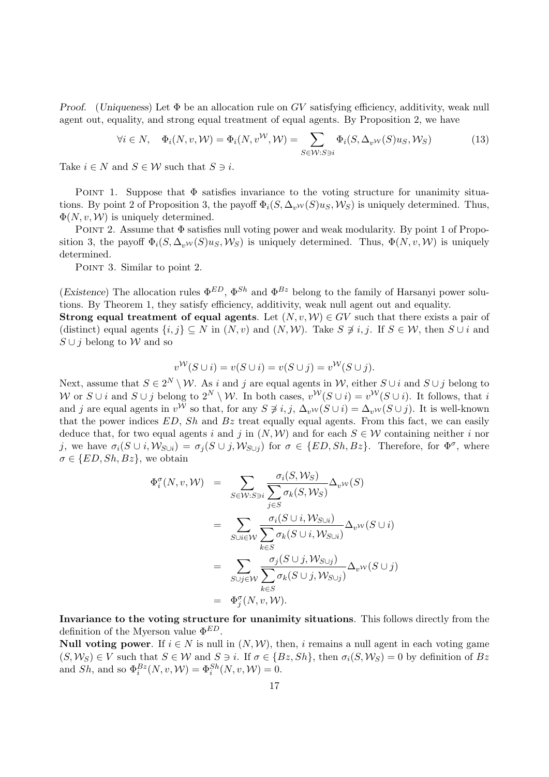Proof. (Uniqueness) Let  $\Phi$  be an allocation rule on GV satisfying efficiency, additivity, weak null agent out, equality, and strong equal treatment of equal agents. By Proposition 2, we have

$$
\forall i \in N, \quad \Phi_i(N, v, \mathcal{W}) = \Phi_i(N, v^{\mathcal{W}}, \mathcal{W}) = \sum_{S \in \mathcal{W}: S \ni i} \Phi_i(S, \Delta_{v^{\mathcal{W}}}(S)u_S, \mathcal{W}_S)
$$
(13)

Take  $i \in N$  and  $S \in \mathcal{W}$  such that  $S \ni i$ .

POINT 1. Suppose that  $\Phi$  satisfies invariance to the voting structure for unanimity situations. By point 2 of Proposition 3, the payoff  $\Phi_i(S, \Delta_{vW}(S)u_S, \mathcal{W}_S)$  is uniquely determined. Thus,  $\Phi(N, v, \mathcal{W})$  is uniquely determined.

Point 2. Assume that Φ satisfies null voting power and weak modularity. By point 1 of Proposition 3, the payoff  $\Phi_i(S, \Delta_n w(S)u_S, \mathcal{W}_S)$  is uniquely determined. Thus,  $\Phi(N, v, \mathcal{W})$  is uniquely determined.

POINT 3. Similar to point 2.

(Existence) The allocation rules  $\Phi^{ED}$ ,  $\Phi^{Sh}$  and  $\Phi^{Bz}$  belong to the family of Harsanyi power solutions. By Theorem 1, they satisfy efficiency, additivity, weak null agent out and equality.

Strong equal treatment of equal agents. Let  $(N, v, W) \in GV$  such that there exists a pair of (distinct) equal agents  $\{i, j\} \subseteq N$  in  $(N, v)$  and  $(N, \mathcal{W})$ . Take  $S \not\ni i, j$ . If  $S \in \mathcal{W}$ , then  $S \cup i$  and  $S \cup j$  belong to W and so

$$
v^{\mathcal{W}}(S \cup i) = v(S \cup i) = v(S \cup j) = v^{\mathcal{W}}(S \cup j).
$$

Next, assume that  $S \in 2^N \setminus \mathcal{W}$ . As i and j are equal agents in W, either  $S \cup i$  and  $S \cup j$  belong to W or  $S \cup i$  and  $S \cup j$  belong to  $2^N \setminus \mathcal{W}$ . In both cases,  $v^{\mathcal{W}}(S \cup i) = v^{\mathcal{W}}(S \cup i)$ . It follows, that i and j are equal agents in  $v^{\mathcal{W}}$  so that, for any  $S \not\ni i, j, \Delta_{v^{\mathcal{W}}}(S \cup i) = \Delta_{v^{\mathcal{W}}}(S \cup j)$ . It is well-known that the power indices  $ED$ , Sh and  $Bz$  treat equally equal agents. From this fact, we can easily deduce that, for two equal agents i and j in  $(N, W)$  and for each  $S \in W$  containing neither i nor j, we have  $\sigma_i(S \cup i, \mathcal{W}_{S \cup i}) = \sigma_j(S \cup j, \mathcal{W}_{S \cup j})$  for  $\sigma \in \{ED, Sh, Bz\}$ . Therefore, for  $\Phi^{\sigma}$ , where  $\sigma \in \{ED, Sh, Bz\}$ , we obtain

$$
\Phi_i^{\sigma}(N, v, \mathcal{W}) = \sum_{S \in \mathcal{W}: S \ni i} \frac{\sigma_i(S, \mathcal{W}_S)}{\sum_{j \in S} \sigma_k(S, \mathcal{W}_S)} \Delta_v w(S)
$$
  

$$
= \sum_{S \cup i \in \mathcal{W}} \frac{\sigma_i(S \cup i, \mathcal{W}_{S \cup i})}{\sum_{k \in S} \sigma_k(S \cup i, \mathcal{W}_{S \cup j})} \Delta_v w(S \cup i)
$$
  

$$
= \sum_{S \cup j \in \mathcal{W}} \frac{\sigma_j(S \cup j, \mathcal{W}_{S \cup j})}{\sum_{k \in S} \sigma_k(S \cup j, \mathcal{W}_{S \cup j})} \Delta_v w(S \cup j)
$$
  

$$
= \Phi_j^{\sigma}(N, v, \mathcal{W}).
$$

Invariance to the voting structure for unanimity situations. This follows directly from the definition of the Myerson value  $\Phi^{ED}$ .

**Null voting power.** If  $i \in N$  is null in  $(N, W)$ , then, i remains a null agent in each voting game  $(S, \mathcal{W}_S) \in V$  such that  $S \in \mathcal{W}$  and  $S \ni i$ . If  $\sigma \in \{Bz, Sh\}$ , then  $\sigma_i(S, \mathcal{W}_S) = 0$  by definition of  $Bz$ and Sh, and so  $\Phi_i^{Bz}(N, v, \mathcal{W}) = \Phi_i^{Sh}(N, v, \mathcal{W}) = 0.$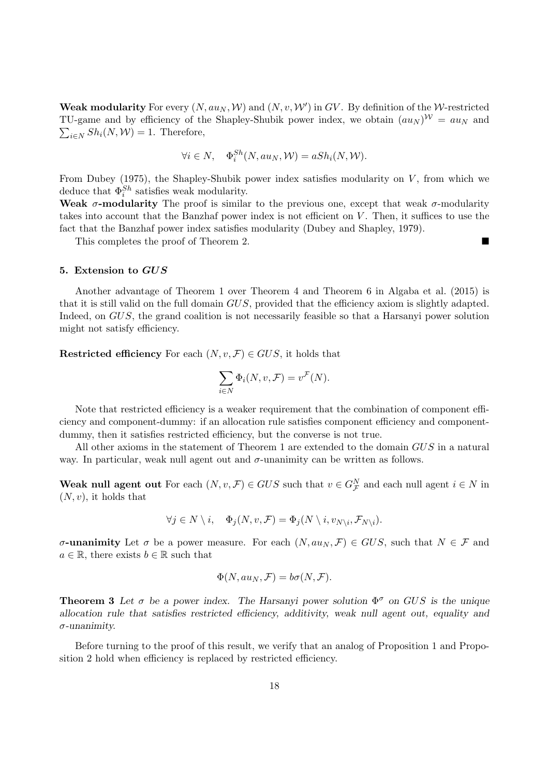Weak modularity For every  $(N, au_N, W)$  and  $(N, v, W')$  in GV. By definition of the W-restricted  $\sum_{i\in N} Sh_i(N, W) = 1$ . Therefore, TU-game and by efficiency of the Shapley-Shubik power index, we obtain  $(au_N)^{\mathcal{W}} = au_N$  and

$$
\forall i \in N, \quad \Phi_i^{Sh}(N, au_N, \mathcal{W}) = aSh_i(N, \mathcal{W}).
$$

From Dubey (1975), the Shapley-Shubik power index satisfies modularity on  $V$ , from which we deduce that  $\Phi_i^{Sh}$  satisfies weak modularity.

Weak  $\sigma$ -modularity The proof is similar to the previous one, except that weak  $\sigma$ -modularity takes into account that the Banzhaf power index is not efficient on  $V$ . Then, it suffices to use the fact that the Banzhaf power index satisfies modularity (Dubey and Shapley, 1979).

This completes the proof of Theorem 2.

#### 5. Extension to GUS

Another advantage of Theorem 1 over Theorem 4 and Theorem 6 in Algaba et al. (2015) is that it is still valid on the full domain GUS, provided that the efficiency axiom is slightly adapted. Indeed, on GUS, the grand coalition is not necessarily feasible so that a Harsanyi power solution might not satisfy efficiency.

**Restricted efficiency** For each  $(N, v, \mathcal{F}) \in GUS$ , it holds that

$$
\sum_{i \in N} \Phi_i(N, v, \mathcal{F}) = v^{\mathcal{F}}(N).
$$

Note that restricted efficiency is a weaker requirement that the combination of component efficiency and component-dummy: if an allocation rule satisfies component efficiency and componentdummy, then it satisfies restricted efficiency, but the converse is not true.

All other axioms in the statement of Theorem 1 are extended to the domain GUS in a natural way. In particular, weak null agent out and  $\sigma$ -unanimity can be written as follows.

**Weak null agent out** For each  $(N, v, \mathcal{F}) \in GUS$  such that  $v \in G_{\mathcal{F}}^{N}$  and each null agent  $i \in N$  in  $(N, v)$ , it holds that

$$
\forall j \in N \setminus i, \quad \Phi_j(N, v, \mathcal{F}) = \Phi_j(N \setminus i, v_{N \setminus i}, \mathcal{F}_{N \setminus i}).
$$

σ-unanimity Let σ be a power measure. For each  $(N, au_N, \mathcal{F}) \in GUS$ , such that  $N \in \mathcal{F}$  and  $a \in \mathbb{R}$ , there exists  $b \in \mathbb{R}$  such that

$$
\Phi(N, au_N, \mathcal{F}) = b\sigma(N, \mathcal{F}).
$$

**Theorem 3** Let  $\sigma$  be a power index. The Harsanyi power solution  $\Phi^{\sigma}$  on GUS is the unique allocation rule that satisfies restricted efficiency, additivity, weak null agent out, equality and  $\sigma$ -unanimity.

Before turning to the proof of this result, we verify that an analog of Proposition 1 and Proposition 2 hold when efficiency is replaced by restricted efficiency.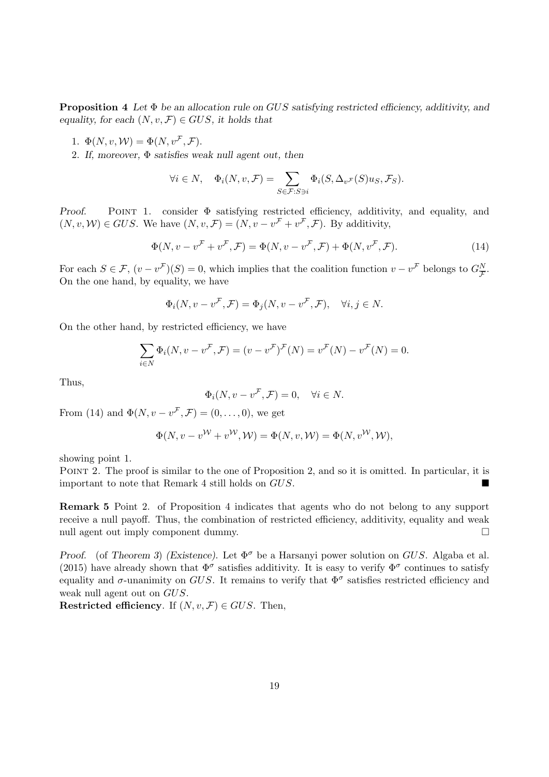**Proposition 4** Let  $\Phi$  be an allocation rule on GUS satisfying restricted efficiency, additivity, and equality, for each  $(N, v, \mathcal{F}) \in GUS$ , it holds that

- 1.  $\Phi(N, v, \mathcal{W}) = \Phi(N, v^{\mathcal{F}}, \mathcal{F}).$
- 2. If, moreover, Φ satisfies weak null agent out, then

$$
\forall i \in N, \quad \Phi_i(N, v, \mathcal{F}) = \sum_{S \in \mathcal{F}: S \ni i} \Phi_i(S, \Delta_{v^{\mathcal{F}}}(S) u_S, \mathcal{F}_S).
$$

Proof. POINT 1. consider Φ satisfying restricted efficiency, additivity, and equality, and  $(N, v, W) \in GUS$ . We have  $(N, v, \mathcal{F}) = (N, v - v^{\mathcal{F}} + v^{\mathcal{F}}, \mathcal{F})$ . By additivity,

$$
\Phi(N, v - v^{\mathcal{F}} + v^{\mathcal{F}}, \mathcal{F}) = \Phi(N, v - v^{\mathcal{F}}, \mathcal{F}) + \Phi(N, v^{\mathcal{F}}, \mathcal{F}).
$$
\n(14)

For each  $S \in \mathcal{F}$ ,  $(v - v^{\mathcal{F}})(S) = 0$ , which implies that the coalition function  $v - v^{\mathcal{F}}$  belongs to  $G^N_{\mathcal{F}}$ . On the one hand, by equality, we have

$$
\Phi_i(N, v - v^{\mathcal{F}}, \mathcal{F}) = \Phi_j(N, v - v^{\mathcal{F}}, \mathcal{F}), \quad \forall i, j \in N.
$$

On the other hand, by restricted efficiency, we have

$$
\sum_{i \in N} \Phi_i(N, v - v^{\mathcal{F}}, \mathcal{F}) = (v - v^{\mathcal{F}})^{\mathcal{F}}(N) = v^{\mathcal{F}}(N) - v^{\mathcal{F}}(N) = 0.
$$

Thus,

$$
\Phi_i(N, v - v^{\mathcal{F}}, \mathcal{F}) = 0, \quad \forall i \in N.
$$

From (14) and  $\Phi(N, v - v^{\mathcal{F}}, \mathcal{F}) = (0, \ldots, 0)$ , we get

$$
\Phi(N, v - vW + vW, W) = \Phi(N, v, W) = \Phi(N, vW, W),
$$

showing point 1.

Point 2. The proof is similar to the one of Proposition 2, and so it is omitted. In particular, it is important to note that Remark 4 still holds on GUS.

Remark 5 Point 2. of Proposition 4 indicates that agents who do not belong to any support receive a null payoff. Thus, the combination of restricted efficiency, additivity, equality and weak null agent out imply component dummy.

Proof. (of Theorem 3) (Existence). Let  $\Phi^{\sigma}$  be a Harsanyi power solution on GUS. Algaba et al. (2015) have already shown that  $\Phi^{\sigma}$  satisfies additivity. It is easy to verify  $\Phi^{\sigma}$  continues to satisfy equality and  $\sigma$ -unanimity on GUS. It remains to verify that  $\Phi^{\sigma}$  satisfies restricted efficiency and weak null agent out on GUS.

Restricted efficiency. If  $(N, v, \mathcal{F}) \in GUS$ . Then,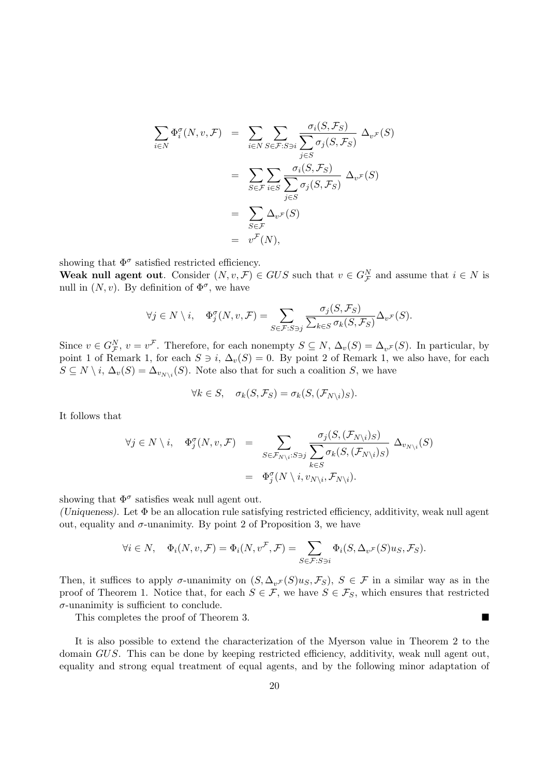$$
\sum_{i \in N} \Phi_i^{\sigma}(N, v, \mathcal{F}) = \sum_{i \in N} \sum_{S \in \mathcal{F}: S \ni i} \frac{\sigma_i(S, \mathcal{F}_S)}{\sum_{j \in S} \sigma_j(S, \mathcal{F}_S)} \Delta_{v^{\mathcal{F}}}(S)
$$

$$
= \sum_{S \in \mathcal{F}} \sum_{i \in S} \frac{\sigma_i(S, \mathcal{F}_S)}{\sum_{j \in S} \sigma_j(S, \mathcal{F}_S)} \Delta_{v^{\mathcal{F}}}(S)
$$

$$
= \sum_{S \in \mathcal{F}} \Delta_{v^{\mathcal{F}}}(S)
$$

$$
= v^{\mathcal{F}}(N),
$$

showing that  $\Phi^{\sigma}$  satisfied restricted efficiency.

**Weak null agent out.** Consider  $(N, v, \mathcal{F}) \in GUS$  such that  $v \in G_{\mathcal{F}}^{N}$  and assume that  $i \in N$  is null in  $(N, v)$ . By definition of  $\Phi^{\sigma}$ , we have

$$
\forall j \in N \setminus i, \quad \Phi_j^{\sigma}(N, v, \mathcal{F}) = \sum_{S \in \mathcal{F}: S \ni j} \frac{\sigma_j(S, \mathcal{F}_S)}{\sum_{k \in S} \sigma_k(S, \mathcal{F}_S)} \Delta_{v^{\mathcal{F}}}(S).
$$

Since  $v \in G_{\mathcal{F}}^{N}$ ,  $v = v^{\mathcal{F}}$ . Therefore, for each nonempty  $S \subseteq N$ ,  $\Delta_{v}(S) = \Delta_{v^{\mathcal{F}}}(S)$ . In particular, by point 1 of Remark 1, for each  $S \ni i$ ,  $\Delta_v(S) = 0$ . By point 2 of Remark 1, we also have, for each  $S \subseteq N \setminus i$ ,  $\Delta_v(S) = \Delta_{v_{N\setminus i}}(S)$ . Note also that for such a coalition S, we have

$$
\forall k \in S, \quad \sigma_k(S, \mathcal{F}_S) = \sigma_k(S, (\mathcal{F}_{N \setminus i})_S).
$$

It follows that

$$
\forall j \in N \setminus i, \quad \Phi_j^{\sigma}(N, v, \mathcal{F}) = \sum_{S \in \mathcal{F}_{N \setminus i}: S \ni j} \frac{\sigma_j(S, (\mathcal{F}_{N \setminus i})_S)}{\sum_{k \in S} \sigma_k(S, (\mathcal{F}_{N \setminus i})_S)} \Delta_{v_{N \setminus i}}(S)
$$
  
= 
$$
\Phi_j^{\sigma}(N \setminus i, v_{N \setminus i}, \mathcal{F}_{N \setminus i}).
$$

showing that  $\Phi^{\sigma}$  satisfies weak null agent out.

(Uniqueness). Let  $\Phi$  be an allocation rule satisfying restricted efficiency, additivity, weak null agent out, equality and  $\sigma$ -unanimity. By point 2 of Proposition 3, we have

$$
\forall i \in N, \quad \Phi_i(N, v, \mathcal{F}) = \Phi_i(N, v^{\mathcal{F}}, \mathcal{F}) = \sum_{S \in \mathcal{F}: S \ni i} \Phi_i(S, \Delta_{v^{\mathcal{F}}}(S)u_S, \mathcal{F}_S).
$$

Then, it suffices to apply  $\sigma$ -unanimity on  $(S, \Delta_{v}F(S)u_S, \mathcal{F}_S)$ ,  $S \in \mathcal{F}$  in a similar way as in the proof of Theorem 1. Notice that, for each  $S \in \mathcal{F}$ , we have  $S \in \mathcal{F}_S$ , which ensures that restricted  $\sigma$ -unanimity is sufficient to conclude.

This completes the proof of Theorem 3.

It is also possible to extend the characterization of the Myerson value in Theorem 2 to the domain GUS. This can be done by keeping restricted efficiency, additivity, weak null agent out, equality and strong equal treatment of equal agents, and by the following minor adaptation of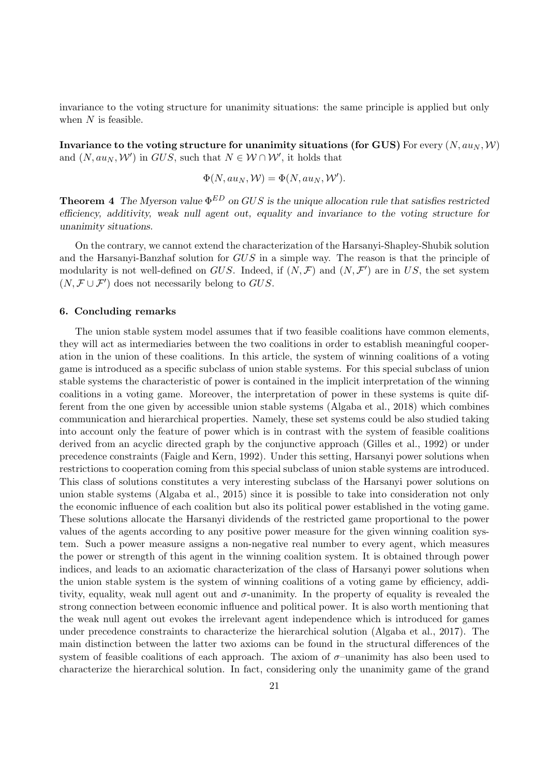invariance to the voting structure for unanimity situations: the same principle is applied but only when  $N$  is feasible.

Invariance to the voting structure for unanimity situations (for GUS) For every  $(N, au_N, W)$ and  $(N, au_N, W')$  in  $GUS$ , such that  $N \in W \cap W'$ , it holds that

$$
\Phi(N, au_N, \mathcal{W}) = \Phi(N, au_N, \mathcal{W}').
$$

**Theorem 4** The Myerson value  $\Phi^{ED}$  on GUS is the unique allocation rule that satisfies restricted efficiency, additivity, weak null agent out, equality and invariance to the voting structure for unanimity situations.

On the contrary, we cannot extend the characterization of the Harsanyi-Shapley-Shubik solution and the Harsanyi-Banzhaf solution for GUS in a simple way. The reason is that the principle of modularity is not well-defined on GUS. Indeed, if  $(N, \mathcal{F})$  and  $(N, \mathcal{F}')$  are in US, the set system  $(N, \mathcal{F} \cup \mathcal{F}')$  does not necessarily belong to  $GUS$ .

#### 6. Concluding remarks

The union stable system model assumes that if two feasible coalitions have common elements, they will act as intermediaries between the two coalitions in order to establish meaningful cooperation in the union of these coalitions. In this article, the system of winning coalitions of a voting game is introduced as a specific subclass of union stable systems. For this special subclass of union stable systems the characteristic of power is contained in the implicit interpretation of the winning coalitions in a voting game. Moreover, the interpretation of power in these systems is quite different from the one given by accessible union stable systems (Algaba et al., 2018) which combines communication and hierarchical properties. Namely, these set systems could be also studied taking into account only the feature of power which is in contrast with the system of feasible coalitions derived from an acyclic directed graph by the conjunctive approach (Gilles et al., 1992) or under precedence constraints (Faigle and Kern, 1992). Under this setting, Harsanyi power solutions when restrictions to cooperation coming from this special subclass of union stable systems are introduced. This class of solutions constitutes a very interesting subclass of the Harsanyi power solutions on union stable systems (Algaba et al., 2015) since it is possible to take into consideration not only the economic influence of each coalition but also its political power established in the voting game. These solutions allocate the Harsanyi dividends of the restricted game proportional to the power values of the agents according to any positive power measure for the given winning coalition system. Such a power measure assigns a non-negative real number to every agent, which measures the power or strength of this agent in the winning coalition system. It is obtained through power indices, and leads to an axiomatic characterization of the class of Harsanyi power solutions when the union stable system is the system of winning coalitions of a voting game by efficiency, additivity, equality, weak null agent out and  $\sigma$ -unanimity. In the property of equality is revealed the strong connection between economic influence and political power. It is also worth mentioning that the weak null agent out evokes the irrelevant agent independence which is introduced for games under precedence constraints to characterize the hierarchical solution (Algaba et al., 2017). The main distinction between the latter two axioms can be found in the structural differences of the system of feasible coalitions of each approach. The axiom of  $\sigma$ -unanimity has also been used to characterize the hierarchical solution. In fact, considering only the unanimity game of the grand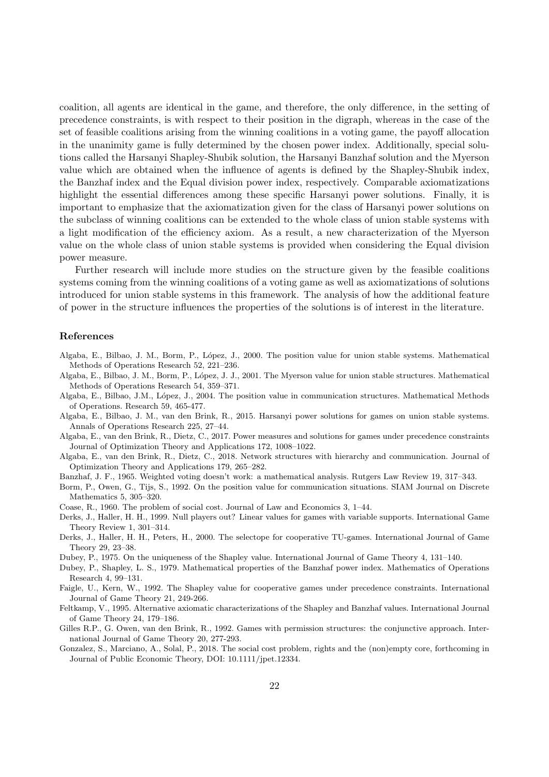coalition, all agents are identical in the game, and therefore, the only difference, in the setting of precedence constraints, is with respect to their position in the digraph, whereas in the case of the set of feasible coalitions arising from the winning coalitions in a voting game, the payoff allocation in the unanimity game is fully determined by the chosen power index. Additionally, special solutions called the Harsanyi Shapley-Shubik solution, the Harsanyi Banzhaf solution and the Myerson value which are obtained when the influence of agents is defined by the Shapley-Shubik index, the Banzhaf index and the Equal division power index, respectively. Comparable axiomatizations highlight the essential differences among these specific Harsanyi power solutions. Finally, it is important to emphasize that the axiomatization given for the class of Harsanyi power solutions on the subclass of winning coalitions can be extended to the whole class of union stable systems with a light modification of the efficiency axiom. As a result, a new characterization of the Myerson value on the whole class of union stable systems is provided when considering the Equal division power measure.

Further research will include more studies on the structure given by the feasible coalitions systems coming from the winning coalitions of a voting game as well as axiomatizations of solutions introduced for union stable systems in this framework. The analysis of how the additional feature of power in the structure influences the properties of the solutions is of interest in the literature.

#### References

- Algaba, E., Bilbao, J. M., Borm, P., López, J., 2000. The position value for union stable systems. Mathematical Methods of Operations Research 52, 221–236.
- Algaba, E., Bilbao, J. M., Borm, P., L´opez, J. J., 2001. The Myerson value for union stable structures. Mathematical Methods of Operations Research 54, 359–371.
- Algaba, E., Bilbao, J.M., L´opez, J., 2004. The position value in communication structures. Mathematical Methods of Operations. Research 59, 465-477.
- Algaba, E., Bilbao, J. M., van den Brink, R., 2015. Harsanyi power solutions for games on union stable systems. Annals of Operations Research 225, 27–44.
- Algaba, E., van den Brink, R., Dietz, C., 2017. Power measures and solutions for games under precedence constraints Journal of Optimization Theory and Applications 172, 1008–1022.
- Algaba, E., van den Brink, R., Dietz, C., 2018. Network structures with hierarchy and communication. Journal of Optimization Theory and Applications 179, 265–282.
- Banzhaf, J. F., 1965. Weighted voting doesn't work: a mathematical analysis. Rutgers Law Review 19, 317–343.
- Borm, P., Owen, G., Tijs, S., 1992. On the position value for communication situations. SIAM Journal on Discrete Mathematics 5, 305–320.
- Coase, R., 1960. The problem of social cost. Journal of Law and Economics 3, 1–44.
- Derks, J., Haller, H. H., 1999. Null players out? Linear values for games with variable supports. International Game Theory Review 1, 301–314.
- Derks, J., Haller, H. H., Peters, H., 2000. The selectope for cooperative TU-games. International Journal of Game Theory 29, 23–38.
- Dubey, P., 1975. On the uniqueness of the Shapley value. International Journal of Game Theory 4, 131–140.
- Dubey, P., Shapley, L. S., 1979. Mathematical properties of the Banzhaf power index. Mathematics of Operations Research 4, 99–131.
- Faigle, U., Kern, W., 1992. The Shapley value for cooperative games under precedence constraints. International Journal of Game Theory 21, 249-266.
- Feltkamp, V., 1995. Alternative axiomatic characterizations of the Shapley and Banzhaf values. International Journal of Game Theory 24, 179–186.
- Gilles R.P., G. Owen, van den Brink, R., 1992. Games with permission structures: the conjunctive approach. International Journal of Game Theory 20, 277-293.
- Gonzalez, S., Marciano, A., Solal, P., 2018. The social cost problem, rights and the (non)empty core, forthcoming in Journal of Public Economic Theory, DOI: 10.1111/jpet.12334.